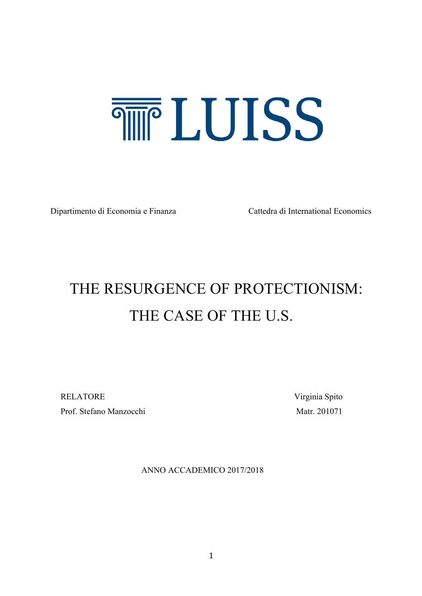# **THE LUISS**

Dipartimento di Economia e Finanza Cattedra di International Economics

# THE RESURGENCE OF PROTECTIONISM: THE CASE OF THE U.S.

RELATORE Virginia Spito Prof. Stefano Manzocchi Matr. 201071

ANNO ACCADEMICO 2017/2018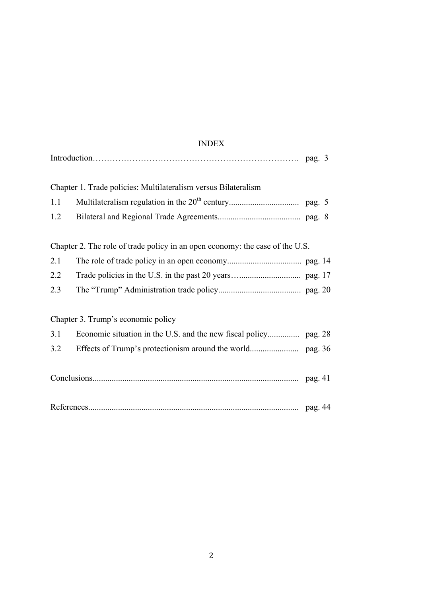## INDEX

|     | Chapter 1. Trade policies: Multilateralism versus Bilateralism               |  |
|-----|------------------------------------------------------------------------------|--|
| 1.1 |                                                                              |  |
| 1.2 |                                                                              |  |
|     | Chapter 2. The role of trade policy in an open economy: the case of the U.S. |  |
| 2.1 |                                                                              |  |
| 2.2 |                                                                              |  |
| 2.3 |                                                                              |  |
|     | Chapter 3. Trump's economic policy                                           |  |
| 3.1 |                                                                              |  |
| 3.2 |                                                                              |  |
|     |                                                                              |  |
|     |                                                                              |  |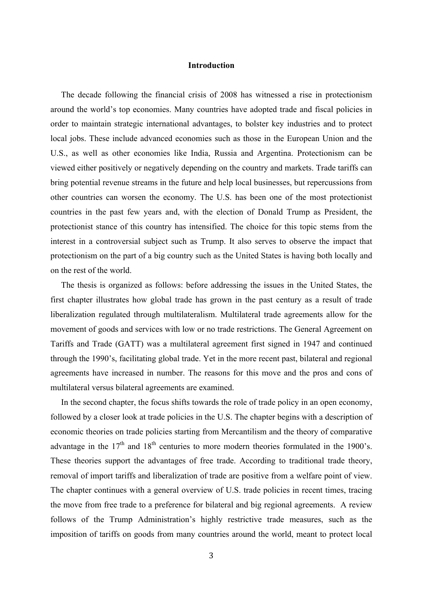#### **Introduction**

 The decade following the financial crisis of 2008 has witnessed a rise in protectionism around the world's top economies. Many countries have adopted trade and fiscal policies in order to maintain strategic international advantages, to bolster key industries and to protect local jobs. These include advanced economies such as those in the European Union and the U.S., as well as other economies like India, Russia and Argentina. Protectionism can be viewed either positively or negatively depending on the country and markets. Trade tariffs can bring potential revenue streams in the future and help local businesses, but repercussions from other countries can worsen the economy. The U.S. has been one of the most protectionist countries in the past few years and, with the election of Donald Trump as President, the protectionist stance of this country has intensified. The choice for this topic stems from the interest in a controversial subject such as Trump. It also serves to observe the impact that protectionism on the part of a big country such as the United States is having both locally and on the rest of the world.

 The thesis is organized as follows: before addressing the issues in the United States, the first chapter illustrates how global trade has grown in the past century as a result of trade liberalization regulated through multilateralism. Multilateral trade agreements allow for the movement of goods and services with low or no trade restrictions. The General Agreement on Tariffs and Trade (GATT) was a multilateral agreement first signed in 1947 and continued through the 1990's, facilitating global trade. Yet in the more recent past, bilateral and regional agreements have increased in number. The reasons for this move and the pros and cons of multilateral versus bilateral agreements are examined.

 In the second chapter, the focus shifts towards the role of trade policy in an open economy, followed by a closer look at trade policies in the U.S. The chapter begins with a description of economic theories on trade policies starting from Mercantilism and the theory of comparative advantage in the  $17<sup>th</sup>$  and  $18<sup>th</sup>$  centuries to more modern theories formulated in the 1900's. These theories support the advantages of free trade. According to traditional trade theory, removal of import tariffs and liberalization of trade are positive from a welfare point of view. The chapter continues with a general overview of U.S. trade policies in recent times, tracing the move from free trade to a preference for bilateral and big regional agreements. A review follows of the Trump Administration's highly restrictive trade measures, such as the imposition of tariffs on goods from many countries around the world, meant to protect local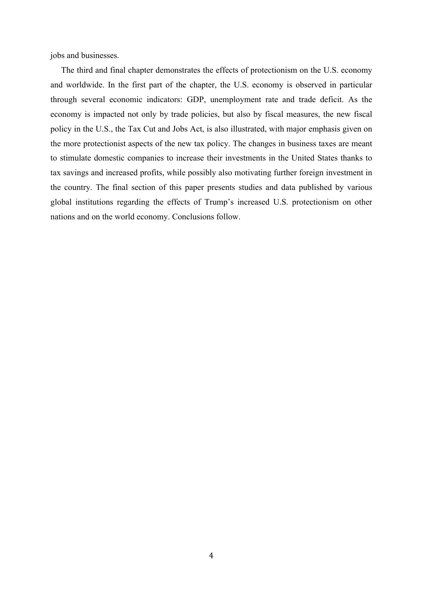jobs and businesses.

 The third and final chapter demonstrates the effects of protectionism on the U.S. economy and worldwide. In the first part of the chapter, the U.S. economy is observed in particular through several economic indicators: GDP, unemployment rate and trade deficit. As the economy is impacted not only by trade policies, but also by fiscal measures, the new fiscal policy in the U.S., the Tax Cut and Jobs Act, is also illustrated, with major emphasis given on the more protectionist aspects of the new tax policy. The changes in business taxes are meant to stimulate domestic companies to increase their investments in the United States thanks to tax savings and increased profits, while possibly also motivating further foreign investment in the country. The final section of this paper presents studies and data published by various global institutions regarding the effects of Trump's increased U.S. protectionism on other nations and on the world economy. Conclusions follow.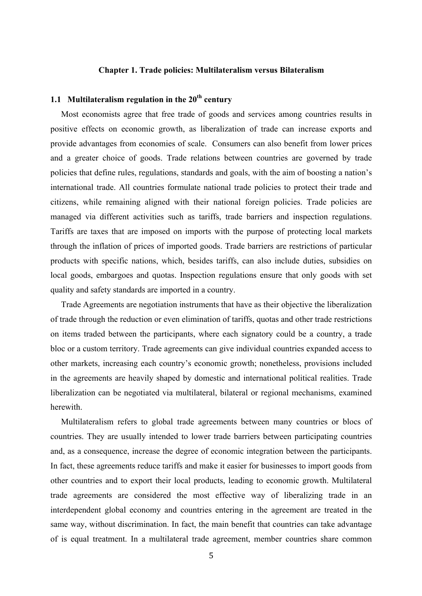#### **Chapter 1. Trade policies: Multilateralism versus Bilateralism**

### **1.1 Multilateralism regulation in the 20th century**

 Most economists agree that free trade of goods and services among countries results in positive effects on economic growth, as liberalization of trade can increase exports and provide advantages from economies of scale. Consumers can also benefit from lower prices and a greater choice of goods. Trade relations between countries are governed by trade policies that define rules, regulations, standards and goals, with the aim of boosting a nation's international trade. All countries formulate national trade policies to protect their trade and citizens, while remaining aligned with their national foreign policies. Trade policies are managed via different activities such as tariffs, trade barriers and inspection regulations. Tariffs are taxes that are imposed on imports with the purpose of protecting local markets through the inflation of prices of imported goods. Trade barriers are restrictions of particular products with specific nations, which, besides tariffs, can also include duties, subsidies on local goods, embargoes and quotas. Inspection regulations ensure that only goods with set quality and safety standards are imported in a country.

 Trade Agreements are negotiation instruments that have as their objective the liberalization of trade through the reduction or even elimination of tariffs, quotas and other trade restrictions on items traded between the participants, where each signatory could be a country, a trade bloc or a custom territory. Trade agreements can give individual countries expanded access to other markets, increasing each country's economic growth; nonetheless, provisions included in the agreements are heavily shaped by domestic and international political realities. Trade liberalization can be negotiated via multilateral, bilateral or regional mechanisms, examined herewith.

 Multilateralism refers to global trade agreements between many countries or blocs of countries. They are usually intended to lower trade barriers between participating countries and, as a consequence, increase the degree of economic integration between the participants. In fact, these agreements reduce tariffs and make it easier for businesses to import goods from other countries and to export their local products, leading to economic growth. Multilateral trade agreements are considered the most effective way of liberalizing trade in an interdependent global economy and countries entering in the agreement are treated in the same way, without discrimination. In fact, the main benefit that countries can take advantage of is equal treatment. In a multilateral trade agreement, member countries share common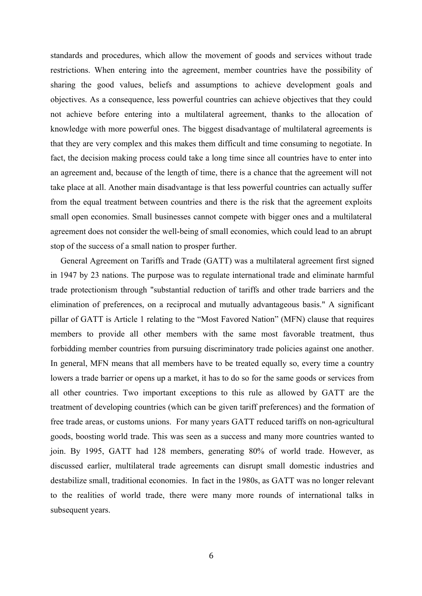standards and procedures, which allow the movement of goods and services without trade restrictions. When entering into the agreement, member countries have the possibility of sharing the good values, beliefs and assumptions to achieve development goals and objectives. As a consequence, less powerful countries can achieve objectives that they could not achieve before entering into a multilateral agreement, thanks to the allocation of knowledge with more powerful ones. The biggest disadvantage of multilateral agreements is that they are very complex and this makes them difficult and time consuming to negotiate. In fact, the decision making process could take a long time since all countries have to enter into an agreement and, because of the length of time, there is a chance that the agreement will not take place at all. Another main disadvantage is that less powerful countries can actually suffer from the equal treatment between countries and there is the risk that the agreement exploits small open economies. Small businesses cannot compete with bigger ones and a multilateral agreement does not consider the well-being of small economies, which could lead to an abrupt stop of the success of a small nation to prosper further.

General Agreement on Tariffs and Trade (GATT) was a multilateral agreement first signed in 1947 by 23 nations. The purpose was to regulate international trade and eliminate harmful trade protectionism through "substantial reduction of tariffs and other trade barriers and the elimination of preferences, on a reciprocal and mutually advantageous basis." A significant pillar of GATT is Article 1 relating to the "Most Favored Nation" (MFN) clause that requires members to provide all other members with the same most favorable treatment, thus forbidding member countries from pursuing discriminatory trade policies against one another. In general, MFN means that all members have to be treated equally so, every time a country lowers a trade barrier or opens up a market, it has to do so for the same goods or services from all other countries. Two important exceptions to this rule as allowed by GATT are the treatment of developing countries (which can be given tariff preferences) and the formation of free trade areas, or customs unions. For many years GATT reduced tariffs on non-agricultural goods, boosting world trade. This was seen as a success and many more countries wanted to join. By 1995, GATT had 128 members, generating 80% of world trade. However, as discussed earlier, multilateral trade agreements can disrupt small domestic industries and destabilize small, traditional economies. In fact in the 1980s, as GATT was no longer relevant to the realities of world trade, there were many more rounds of international talks in subsequent years.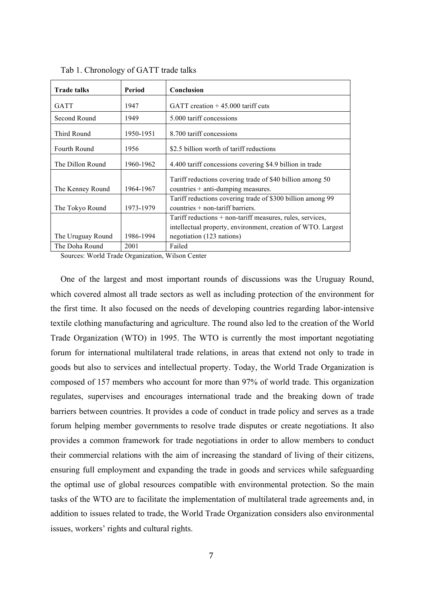| <b>Trade talks</b> | Period    | Conclusion                                                                                                                                             |  |
|--------------------|-----------|--------------------------------------------------------------------------------------------------------------------------------------------------------|--|
| GATT               | 1947      | GATT creation $+45.000$ tariff cuts                                                                                                                    |  |
| Second Round       | 1949      | 5.000 tariff concessions                                                                                                                               |  |
| Third Round        | 1950-1951 | 8.700 tariff concessions                                                                                                                               |  |
| Fourth Round       | 1956      | \$2.5 billion worth of tariff reductions                                                                                                               |  |
| The Dillon Round   | 1960-1962 | 4.400 tariff concessions covering \$4.9 billion in trade                                                                                               |  |
| The Kenney Round   | 1964-1967 | Tariff reductions covering trade of \$40 billion among 50<br>countries + anti-dumping measures.                                                        |  |
| The Tokyo Round    | 1973-1979 | Tariff reductions covering trade of \$300 billion among 99<br>$countries + non-tariff barriers.$                                                       |  |
| The Uruguay Round  | 1986-1994 | Tariff reductions + non-tariff measures, rules, services,<br>intellectual property, environment, creation of WTO. Largest<br>negotiation (123 nations) |  |
| The Doha Round     | 2001      | Failed                                                                                                                                                 |  |

Tab 1. Chronology of GATT trade talks

Sources: World Trade Organization, Wilson Center

One of the largest and most important rounds of discussions was the Uruguay Round, which covered almost all trade sectors as well as including protection of the environment for the first time. It also focused on the needs of developing countries regarding labor-intensive textile clothing manufacturing and agriculture. The round also led to the creation of the World Trade Organization (WTO) in 1995. The WTO is currently the most important negotiating forum for international multilateral trade relations, in areas that extend not only to trade in goods but also to services and intellectual property. Today, the World Trade Organization is composed of 157 members who account for more than 97% of world trade. This organization regulates, supervises and encourages international trade and the breaking down of trade barriers between countries. It provides a code of conduct in trade policy and serves as a trade forum helping member governments to resolve trade disputes or create negotiations. It also provides a common framework for trade negotiations in order to allow members to conduct their commercial relations with the aim of increasing the standard of living of their citizens, ensuring full employment and expanding the trade in goods and services while safeguarding the optimal use of global resources compatible with environmental protection. So the main tasks of the WTO are to facilitate the implementation of multilateral trade agreements and, in addition to issues related to trade, the World Trade Organization considers also environmental issues, workers' rights and cultural rights.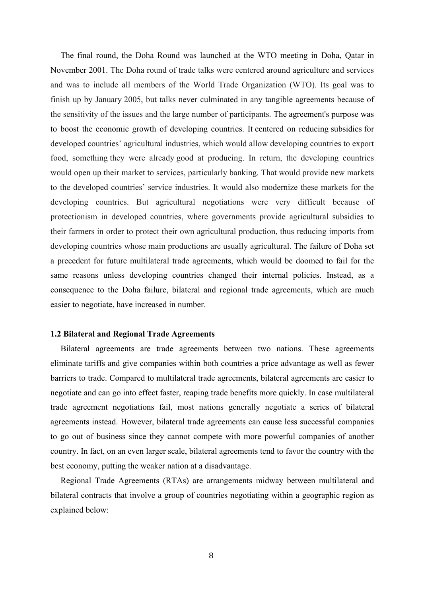The final round, the Doha Round was launched at the WTO meeting in Doha, Qatar in November 2001. The Doha round of trade talks were centered around agriculture and services and was to include all members of the World Trade Organization (WTO). Its goal was to finish up by January 2005, but talks never culminated in any tangible agreements because of the sensitivity of the issues and the large number of participants. The agreement's purpose was to boost the economic growth of developing countries. It centered on reducing subsidies for developed countries' agricultural industries, which would allow developing countries to export food, something they were already good at producing. In return, the developing countries would open up their market to services, particularly banking. That would provide new markets to the developed countries' service industries. It would also modernize these markets for the developing countries. But agricultural negotiations were very difficult because of protectionism in developed countries, where governments provide agricultural subsidies to their farmers in order to protect their own agricultural production, thus reducing imports from developing countries whose main productions are usually agricultural. The failure of Doha set a precedent for future multilateral trade agreements, which would be doomed to fail for the same reasons unless developing countries changed their internal policies. Instead, as a consequence to the Doha failure, bilateral and regional trade agreements, which are much easier to negotiate, have increased in number.

#### **1.2 Bilateral and Regional Trade Agreements**

Bilateral agreements are trade agreements between two nations. These agreements eliminate tariffs and give companies within both countries a price advantage as well as fewer barriers to trade. Compared to multilateral trade agreements, bilateral agreements are easier to negotiate and can go into effect faster, reaping trade benefits more quickly. In case multilateral trade agreement negotiations fail, most nations generally negotiate a series of bilateral agreements instead. However, bilateral trade agreements can cause less successful companies to go out of business since they cannot compete with more powerful companies of another country. In fact, on an even larger scale, bilateral agreements tend to favor the country with the best economy, putting the weaker nation at a disadvantage.

Regional Trade Agreements (RTAs) are arrangements midway between multilateral and bilateral contracts that involve a group of countries negotiating within a geographic region as explained below: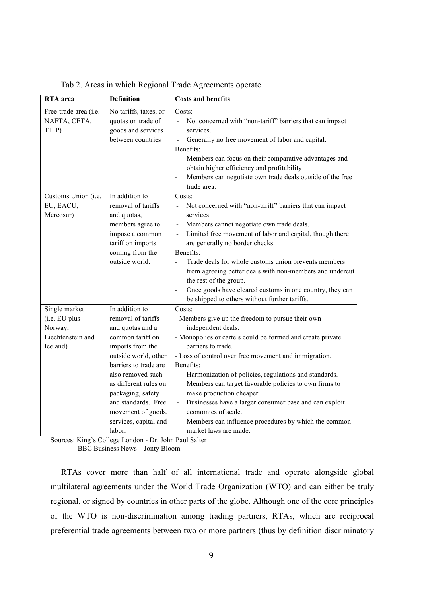| <b>RTA</b> area                                                            | <b>Definition</b>                                                                                                                                                                                                                                                                                    | <b>Costs and benefits</b>                                                                                                                                                                                                                                                                                                                                                                                                                                                                                                                                                                                        |
|----------------------------------------------------------------------------|------------------------------------------------------------------------------------------------------------------------------------------------------------------------------------------------------------------------------------------------------------------------------------------------------|------------------------------------------------------------------------------------------------------------------------------------------------------------------------------------------------------------------------------------------------------------------------------------------------------------------------------------------------------------------------------------------------------------------------------------------------------------------------------------------------------------------------------------------------------------------------------------------------------------------|
| Free-trade area (i.e.<br>NAFTA, CETA,<br>TTIP)                             | No tariffs, taxes, or<br>quotas on trade of<br>goods and services<br>between countries                                                                                                                                                                                                               | Costs:<br>Not concerned with "non-tariff" barriers that can impact<br>$\Box$<br>services.<br>Generally no free movement of labor and capital.<br>$\Box$<br>Benefits:<br>Members can focus on their comparative advantages and<br>obtain higher efficiency and profitability<br>Members can negotiate own trade deals outside of the free<br>trade area.                                                                                                                                                                                                                                                          |
| Customs Union (i.e.<br>EU, EACU,<br>Mercosur)                              | In addition to<br>removal of tariffs<br>and quotas,<br>members agree to<br>impose a common<br>tariff on imports<br>coming from the<br>outside world.                                                                                                                                                 | Costs:<br>Not concerned with "non-tariff" barriers that can impact<br>services<br>Members cannot negotiate own trade deals.<br>$\sim$<br>Limited free movement of labor and capital, though there<br>are generally no border checks.<br>Benefits:<br>Trade deals for whole customs union prevents members<br>from agreeing better deals with non-members and undercut<br>the rest of the group.<br>Once goods have cleared customs in one country, they can<br>$\qquad \qquad \blacksquare$<br>be shipped to others without further tariffs.                                                                     |
| Single market<br>(i.e. EU plus<br>Norway,<br>Liechtenstein and<br>Iceland) | In addition to<br>removal of tariffs<br>and quotas and a<br>common tariff on<br>imports from the<br>outside world, other<br>barriers to trade are<br>also removed such<br>as different rules on<br>packaging, safety<br>and standards. Free<br>movement of goods,<br>services, capital and<br>labor. | Costs:<br>- Members give up the freedom to pursue their own<br>independent deals.<br>- Monopolies or cartels could be formed and create private<br>barriers to trade.<br>- Loss of control over free movement and immigration.<br>Benefits:<br>Harmonization of policies, regulations and standards.<br>$\blacksquare$<br>Members can target favorable policies to own firms to<br>make production cheaper.<br>Businesses have a larger consumer base and can exploit<br>$\blacksquare$<br>economies of scale.<br>Members can influence procedures by which the common<br>$\frac{1}{2}$<br>market laws are made. |

Tab 2. Areas in which Regional Trade Agreements operate

Sources: King's College London - Dr. John Paul Salter

BBC Business News – Jonty Bloom

 RTAs cover more than half of all international trade and operate alongside global multilateral agreements under the World Trade Organization (WTO) and can either be truly regional, or signed by countries in other parts of the globe. Although one of the core principles of the WTO is non-discrimination among trading partners, RTAs, which are reciprocal preferential trade agreements between two or more partners (thus by definition discriminatory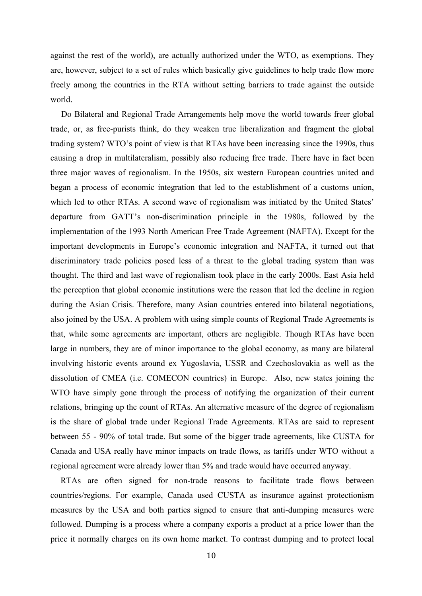against the rest of the world), are actually authorized under the WTO, as exemptions. They are, however, subject to a set of rules which basically give guidelines to help trade flow more freely among the countries in the RTA without setting barriers to trade against the outside world.

 Do Bilateral and Regional Trade Arrangements help move the world towards freer global trade, or, as free-purists think, do they weaken true liberalization and fragment the global trading system? WTO's point of view is that RTAs have been increasing since the 1990s, thus causing a drop in multilateralism, possibly also reducing free trade. There have in fact been three major waves of regionalism. In the 1950s, six western European countries united and began a process of economic integration that led to the establishment of a customs union, which led to other RTAs. A second wave of regionalism was initiated by the United States' departure from GATT's non-discrimination principle in the 1980s, followed by the implementation of the 1993 North American Free Trade Agreement (NAFTA). Except for the important developments in Europe's economic integration and NAFTA, it turned out that discriminatory trade policies posed less of a threat to the global trading system than was thought. The third and last wave of regionalism took place in the early 2000s. East Asia held the perception that global economic institutions were the reason that led the decline in region during the Asian Crisis. Therefore, many Asian countries entered into bilateral negotiations, also joined by the USA. A problem with using simple counts of Regional Trade Agreements is that, while some agreements are important, others are negligible. Though RTAs have been large in numbers, they are of minor importance to the global economy, as many are bilateral involving historic events around ex Yugoslavia, USSR and Czechoslovakia as well as the dissolution of CMEA (i.e. COMECON countries) in Europe. Also, new states joining the WTO have simply gone through the process of notifying the organization of their current relations, bringing up the count of RTAs. An alternative measure of the degree of regionalism is the share of global trade under Regional Trade Agreements. RTAs are said to represent between 55 - 90% of total trade. But some of the bigger trade agreements, like CUSTA for Canada and USA really have minor impacts on trade flows, as tariffs under WTO without a regional agreement were already lower than 5% and trade would have occurred anyway.

RTAs are often signed for non-trade reasons to facilitate trade flows between countries/regions. For example, Canada used CUSTA as insurance against protectionism measures by the USA and both parties signed to ensure that anti-dumping measures were followed. Dumping is a process where a company exports a product at a price lower than the price it normally charges on its own home market. To contrast dumping and to protect local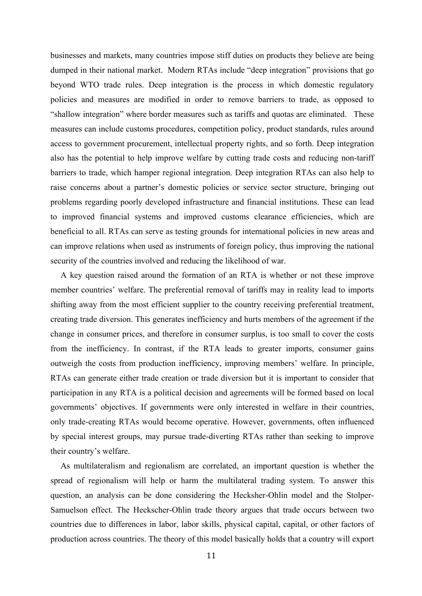businesses and markets, many countries impose stiff duties on products they believe are being dumped in their national market. Modern RTAs include "deep integration" provisions that go beyond WTO trade rules. Deep integration is the process in which domestic regulatory policies and measures are modified in order to remove barriers to trade, as opposed to "shallow integration" where border measures such as tariffs and quotas are eliminated. These measures can include customs procedures, competition policy, product standards, rules around access to government procurement, intellectual property rights, and so forth. Deep integration also has the potential to help improve welfare by cutting trade costs and reducing non-tariff barriers to trade, which hamper regional integration. Deep integration RTAs can also help to raise concerns about a partner's domestic policies or service sector structure, bringing out problems regarding poorly developed infrastructure and financial institutions. These can lead to improved financial systems and improved customs clearance efficiencies, which are beneficial to all. RTAs can serve as testing grounds for international policies in new areas and can improve relations when used as instruments of foreign policy, thus improving the national security of the countries involved and reducing the likelihood of war.

A key question raised around the formation of an RTA is whether or not these improve member countries' welfare. The preferential removal of tariffs may in reality lead to imports shifting away from the most efficient supplier to the country receiving preferential treatment, creating trade diversion. This generates inefficiency and hurts members of the agreement if the change in consumer prices, and therefore in consumer surplus, is too small to cover the costs from the inefficiency. In contrast, if the RTA leads to greater imports, consumer gains outweigh the costs from production inefficiency, improving members' welfare. In principle, RTAs can generate either trade creation or trade diversion but it is important to consider that participation in any RTA is a political decision and agreements will be formed based on local governments' objectives. If governments were only interested in welfare in their countries, only trade-creating RTAs would become operative. However, governments, often influenced by special interest groups, may pursue trade-diverting RTAs rather than seeking to improve their country's welfare.

As multilateralism and regionalism are correlated, an important question is whether the spread of regionalism will help or harm the multilateral trading system. To answer this question, an analysis can be done considering the Hecksher-Ohlin model and the Stolper-Samuelson effect. The Heckscher-Ohlin trade theory argues that trade occurs between two countries due to differences in labor, labor skills, physical capital, capital, or other factors of production across countries. The theory of this model basically holds that a country will export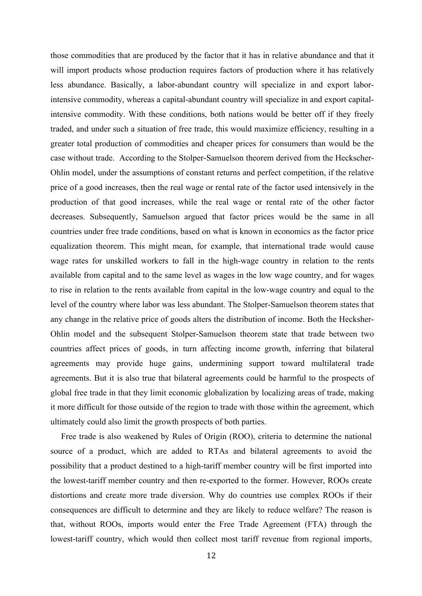those commodities that are produced by the factor that it has in relative abundance and that it will import products whose production requires factors of production where it has relatively less abundance. Basically, a labor-abundant country will specialize in and export laborintensive commodity, whereas a capital-abundant country will specialize in and export capitalintensive commodity. With these conditions, both nations would be better off if they freely traded, and under such a situation of free trade, this would maximize efficiency, resulting in a greater total production of commodities and cheaper prices for consumers than would be the case without trade. According to the Stolper-Samuelson theorem derived from the Heckscher-Ohlin model, under the assumptions of constant returns and perfect competition, if the relative price of a good increases, then the real wage or rental rate of the factor used intensively in the production of that good increases, while the real wage or rental rate of the other factor decreases. Subsequently, Samuelson argued that factor prices would be the same in all countries under free trade conditions, based on what is known in economics as the factor price equalization theorem. This might mean, for example, that international trade would cause wage rates for unskilled workers to fall in the high-wage country in relation to the rents available from capital and to the same level as wages in the low wage country, and for wages to rise in relation to the rents available from capital in the low-wage country and equal to the level of the country where labor was less abundant. The Stolper-Samuelson theorem states that any change in the relative price of goods alters the distribution of income. Both the Hecksher-Ohlin model and the subsequent Stolper-Samuelson theorem state that trade between two countries affect prices of goods, in turn affecting income growth, inferring that bilateral agreements may provide huge gains, undermining support toward multilateral trade agreements. But it is also true that bilateral agreements could be harmful to the prospects of global free trade in that they limit economic globalization by localizing areas of trade, making it more difficult for those outside of the region to trade with those within the agreement, which ultimately could also limit the growth prospects of both parties.

 Free trade is also weakened by Rules of Origin (ROO), criteria to determine the national source of a product, which are added to RTAs and bilateral agreements to avoid the possibility that a product destined to a high-tariff member country will be first imported into the lowest-tariff member country and then re-exported to the former. However, ROOs create distortions and create more trade diversion. Why do countries use complex ROOs if their consequences are difficult to determine and they are likely to reduce welfare? The reason is that, without ROOs, imports would enter the Free Trade Agreement (FTA) through the lowest-tariff country, which would then collect most tariff revenue from regional imports,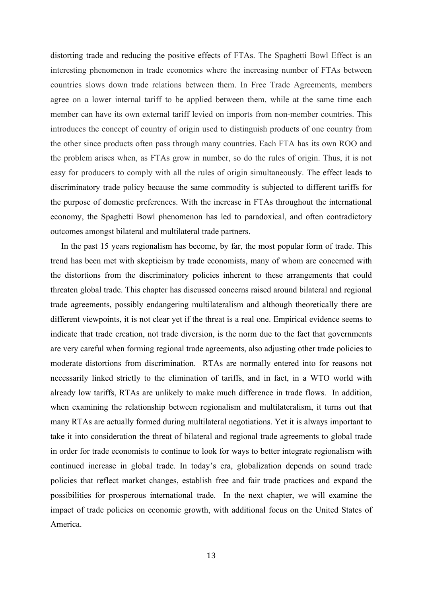distorting trade and reducing the positive effects of FTAs. The Spaghetti Bowl Effect is an interesting phenomenon in trade economics where the increasing number of FTAs between countries slows down trade relations between them. In Free Trade Agreements, members agree on a lower internal tariff to be applied between them, while at the same time each member can have its own external tariff levied on imports from non-member countries. This introduces the concept of country of origin used to distinguish products of one country from the other since products often pass through many countries. Each FTA has its own ROO and the problem arises when, as FTAs grow in number, so do the rules of origin. Thus, it is not easy for producers to comply with all the rules of origin simultaneously. The effect leads to discriminatory trade policy because the same commodity is subjected to different tariffs for the purpose of domestic preferences. With the increase in FTAs throughout the international economy, the Spaghetti Bowl phenomenon has led to paradoxical, and often contradictory outcomes amongst bilateral and multilateral trade partners.

 In the past 15 years regionalism has become, by far, the most popular form of trade. This trend has been met with skepticism by trade economists, many of whom are concerned with the distortions from the discriminatory policies inherent to these arrangements that could threaten global trade. This chapter has discussed concerns raised around bilateral and regional trade agreements, possibly endangering multilateralism and although theoretically there are different viewpoints, it is not clear yet if the threat is a real one. Empirical evidence seems to indicate that trade creation, not trade diversion, is the norm due to the fact that governments are very careful when forming regional trade agreements, also adjusting other trade policies to moderate distortions from discrimination. RTAs are normally entered into for reasons not necessarily linked strictly to the elimination of tariffs, and in fact, in a WTO world with already low tariffs, RTAs are unlikely to make much difference in trade flows. In addition, when examining the relationship between regionalism and multilateralism, it turns out that many RTAs are actually formed during multilateral negotiations. Yet it is always important to take it into consideration the threat of bilateral and regional trade agreements to global trade in order for trade economists to continue to look for ways to better integrate regionalism with continued increase in global trade. In today's era, globalization depends on sound trade policies that reflect market changes, establish free and fair trade practices and expand the possibilities for prosperous international trade. In the next chapter, we will examine the impact of trade policies on economic growth, with additional focus on the United States of America.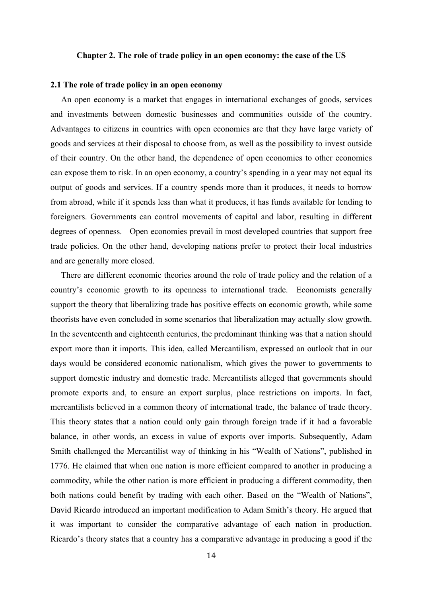#### **Chapter 2. The role of trade policy in an open economy: the case of the US**

#### **2.1 The role of trade policy in an open economy**

 An open economy is a market that engages in international exchanges of goods, services and investments between domestic businesses and communities outside of the country. Advantages to citizens in countries with open economies are that they have large variety of goods and services at their disposal to choose from, as well as the possibility to invest outside of their country. On the other hand, the dependence of open economies to other economies can expose them to risk. In an open economy, a country's spending in a year may not equal its output of goods and services. If a country spends more than it produces, it needs to borrow from abroad, while if it spends less than what it produces, it has funds available for lending to foreigners. Governments can control movements of capital and labor, resulting in different degrees of openness. Open economies prevail in most developed countries that support free trade policies. On the other hand, developing nations prefer to protect their local industries and are generally more closed.

 There are different economic theories around the role of trade policy and the relation of a country's economic growth to its openness to international trade. Economists generally support the theory that liberalizing trade has positive effects on economic growth, while some theorists have even concluded in some scenarios that liberalization may actually slow growth. In the seventeenth and eighteenth centuries, the predominant thinking was that a nation should export more than it imports. This idea, called Mercantilism, expressed an outlook that in our days would be considered economic nationalism, which gives the power to governments to support domestic industry and domestic trade. Mercantilists alleged that governments should promote exports and, to ensure an export surplus, place restrictions on imports. In fact, mercantilists believed in a common theory of international trade, the balance of trade theory. This theory states that a nation could only gain through foreign trade if it had a favorable balance, in other words, an excess in value of exports over imports. Subsequently, Adam Smith challenged the Mercantilist way of thinking in his "Wealth of Nations", published in 1776. He claimed that when one nation is more efficient compared to another in producing a commodity, while the other nation is more efficient in producing a different commodity, then both nations could benefit by trading with each other. Based on the "Wealth of Nations", David Ricardo introduced an important modification to Adam Smith's theory. He argued that it was important to consider the comparative advantage of each nation in production. Ricardo's theory states that a country has a comparative advantage in producing a good if the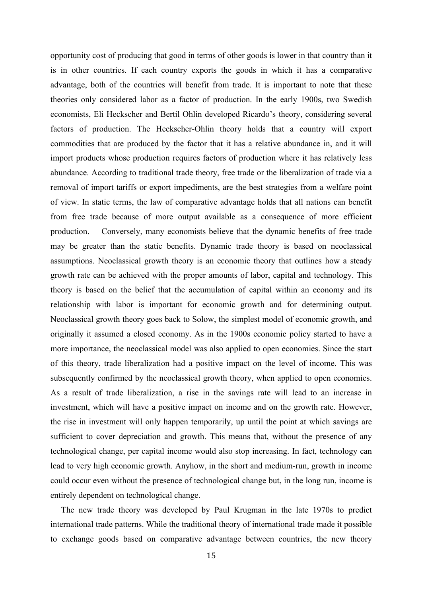opportunity cost of producing that good in terms of other goods is lower in that country than it is in other countries. If each country exports the goods in which it has a comparative advantage, both of the countries will benefit from trade. It is important to note that these theories only considered labor as a factor of production. In the early 1900s, two Swedish economists, Eli Heckscher and Bertil Ohlin developed Ricardo's theory, considering several factors of production. The Heckscher-Ohlin theory holds that a country will export commodities that are produced by the factor that it has a relative abundance in, and it will import products whose production requires factors of production where it has relatively less abundance. According to traditional trade theory, free trade or the liberalization of trade via a removal of import tariffs or export impediments, are the best strategies from a welfare point of view. In static terms, the law of comparative advantage holds that all nations can benefit from free trade because of more output available as a consequence of more efficient production. Conversely, many economists believe that the dynamic benefits of free trade may be greater than the static benefits. Dynamic trade theory is based on neoclassical assumptions. Neoclassical growth theory is an economic theory that outlines how a steady growth rate can be achieved with the proper amounts of labor, capital and technology. This theory is based on the belief that the accumulation of capital within an economy and its relationship with labor is important for economic growth and for determining output. Neoclassical growth theory goes back to Solow, the simplest model of economic growth, and originally it assumed a closed economy. As in the 1900s economic policy started to have a more importance, the neoclassical model was also applied to open economies. Since the start of this theory, trade liberalization had a positive impact on the level of income. This was subsequently confirmed by the neoclassical growth theory, when applied to open economies. As a result of trade liberalization, a rise in the savings rate will lead to an increase in investment, which will have a positive impact on income and on the growth rate. However, the rise in investment will only happen temporarily, up until the point at which savings are sufficient to cover depreciation and growth. This means that, without the presence of any technological change, per capital income would also stop increasing. In fact, technology can lead to very high economic growth. Anyhow, in the short and medium-run, growth in income could occur even without the presence of technological change but, in the long run, income is entirely dependent on technological change.

 The new trade theory was developed by Paul Krugman in the late 1970s to predict international trade patterns. While the traditional theory of international trade made it possible to exchange goods based on comparative advantage between countries, the new theory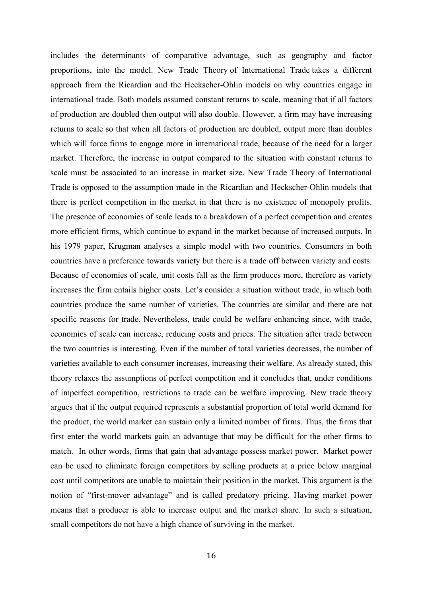includes the determinants of comparative advantage, such as geography and factor proportions, into the model. New Trade Theory of International Trade takes a different approach from the Ricardian and the Heckscher-Ohlin models on why countries engage in international trade. Both models assumed constant returns to scale, meaning that if all factors of production are doubled then output will also double. However, a firm may have increasing returns to scale so that when all factors of production are doubled, output more than doubles which will force firms to engage more in international trade, because of the need for a larger market. Therefore, the increase in output compared to the situation with constant returns to scale must be associated to an increase in market size. New Trade Theory of International Trade is opposed to the assumption made in the Ricardian and Heckscher-Ohlin models that there is perfect competition in the market in that there is no existence of monopoly profits. The presence of economies of scale leads to a breakdown of a perfect competition and creates more efficient firms, which continue to expand in the market because of increased outputs. In his 1979 paper, Krugman analyses a simple model with two countries. Consumers in both countries have a preference towards variety but there is a trade off between variety and costs. Because of economies of scale, unit costs fall as the firm produces more, therefore as variety increases the firm entails higher costs. Let's consider a situation without trade, in which both countries produce the same number of varieties. The countries are similar and there are not specific reasons for trade. Nevertheless, trade could be welfare enhancing since, with trade, economies of scale can increase, reducing costs and prices. The situation after trade between the two countries is interesting. Even if the number of total varieties decreases, the number of varieties available to each consumer increases, increasing their welfare. As already stated, this theory relaxes the assumptions of perfect competition and it concludes that, under conditions of imperfect competition, restrictions to trade can be welfare improving. New trade theory argues that if the output required represents a substantial proportion of total world demand for the product, the world market can sustain only a limited number of firms. Thus, the firms that first enter the world markets gain an advantage that may be difficult for the other firms to match. In other words, firms that gain that advantage possess market power. Market power can be used to eliminate foreign competitors by selling products at a price below marginal cost until competitors are unable to maintain their position in the market. This argument is the notion of "first-mover advantage" and is called predatory pricing. Having market power means that a producer is able to increase output and the market share. In such a situation, small competitors do not have a high chance of surviving in the market.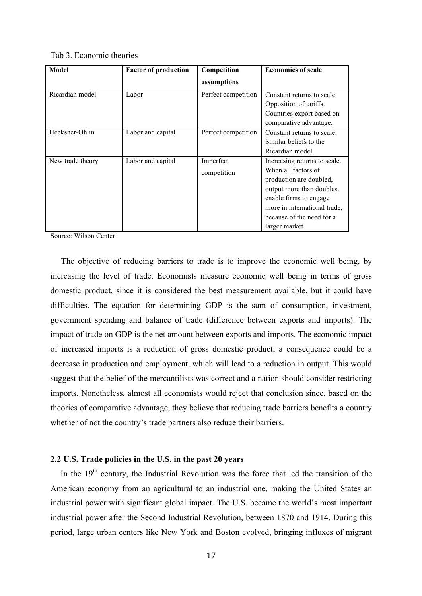#### Tab 3. Economic theories

| Model            | <b>Factor of production</b> | Competition         | <b>Economies of scale</b>                                                         |
|------------------|-----------------------------|---------------------|-----------------------------------------------------------------------------------|
|                  |                             | assumptions         |                                                                                   |
| Ricardian model  | Labor                       | Perfect competition | Constant returns to scale.<br>Opposition of tariffs.<br>Countries export based on |
|                  |                             |                     | comparative advantage.                                                            |
| Hecksher-Ohlin   | Labor and capital           | Perfect competition | Constant returns to scale.                                                        |
|                  |                             |                     | Similar beliefs to the                                                            |
|                  |                             |                     | Ricardian model.                                                                  |
| New trade theory | Labor and capital           | Imperfect           | Increasing returns to scale.                                                      |
|                  |                             | competition         | When all factors of                                                               |
|                  |                             |                     | production are doubled,                                                           |
|                  |                             |                     | output more than doubles.                                                         |
|                  |                             |                     | enable firms to engage                                                            |
|                  |                             |                     | more in international trade,                                                      |
|                  |                             |                     | because of the need for a                                                         |
|                  |                             |                     | larger market.                                                                    |

Source: Wilson Center

 The objective of reducing barriers to trade is to improve the economic well being, by increasing the level of trade. Economists measure economic well being in terms of gross domestic product, since it is considered the best measurement available, but it could have difficulties. The equation for determining GDP is the sum of consumption, investment, government spending and balance of trade (difference between exports and imports). The impact of trade on GDP is the net amount between exports and imports. The economic impact of increased imports is a reduction of gross domestic product; a consequence could be a decrease in production and employment, which will lead to a reduction in output. This would suggest that the belief of the mercantilists was correct and a nation should consider restricting imports. Nonetheless, almost all economists would reject that conclusion since, based on the theories of comparative advantage, they believe that reducing trade barriers benefits a country whether of not the country's trade partners also reduce their barriers.

#### **2.2 U.S. Trade policies in the U.S. in the past 20 years**

In the  $19<sup>th</sup>$  century, the Industrial Revolution was the force that led the transition of the American economy from an agricultural to an industrial one, making the United States an industrial power with significant global impact. The U.S. became the world's most important industrial power after the Second Industrial Revolution, between 1870 and 1914. During this period, large urban centers like New York and Boston evolved, bringing influxes of migrant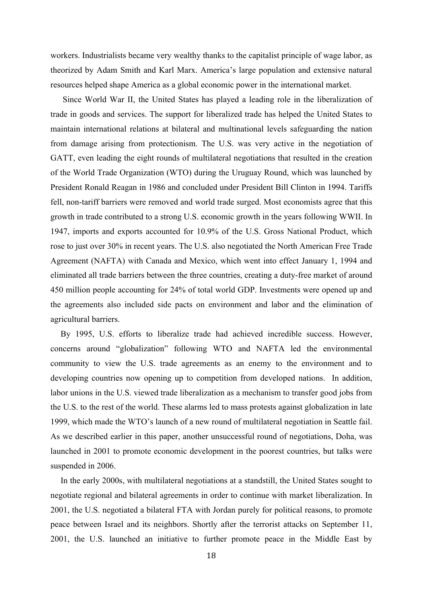workers. Industrialists became very wealthy thanks to the capitalist principle of wage labor, as theorized by Adam Smith and Karl Marx. America's large population and extensive natural resources helped shape America as a global economic power in the international market.

Since World War II, the United States has played a leading role in the liberalization of trade in goods and services. The support for liberalized trade has helped the United States to maintain international relations at bilateral and multinational levels safeguarding the nation from damage arising from protectionism. The U.S. was very active in the negotiation of GATT, even leading the eight rounds of multilateral negotiations that resulted in the creation of the World Trade Organization (WTO) during the Uruguay Round, which was launched by President Ronald Reagan in 1986 and concluded under President Bill Clinton in 1994. Tariffs fell, non-tariff barriers were removed and world trade surged. Most economists agree that this growth in trade contributed to a strong U.S. economic growth in the years following WWII. In 1947, imports and exports accounted for 10.9% of the U.S. Gross National Product, which rose to just over 30% in recent years. The U.S. also negotiated the North American Free Trade Agreement (NAFTA) with Canada and Mexico, which went into effect January 1, 1994 and eliminated all trade barriers between the three countries, creating a duty-free market of around 450 million people accounting for 24% of total world GDP. Investments were opened up and the agreements also included side pacts on environment and labor and the elimination of agricultural barriers.

By 1995, U.S. efforts to liberalize trade had achieved incredible success. However, concerns around "globalization" following WTO and NAFTA led the environmental community to view the U.S. trade agreements as an enemy to the environment and to developing countries now opening up to competition from developed nations. In addition, labor unions in the U.S. viewed trade liberalization as a mechanism to transfer good jobs from the U.S. to the rest of the world. These alarms led to mass protests against globalization in late 1999, which made the WTO's launch of a new round of multilateral negotiation in Seattle fail. As we described earlier in this paper, another unsuccessful round of negotiations, Doha, was launched in 2001 to promote economic development in the poorest countries, but talks were suspended in 2006.

In the early 2000s, with multilateral negotiations at a standstill, the United States sought to negotiate regional and bilateral agreements in order to continue with market liberalization. In 2001, the U.S. negotiated a bilateral FTA with Jordan purely for political reasons, to promote peace between Israel and its neighbors. Shortly after the terrorist attacks on September 11, 2001, the U.S. launched an initiative to further promote peace in the Middle East by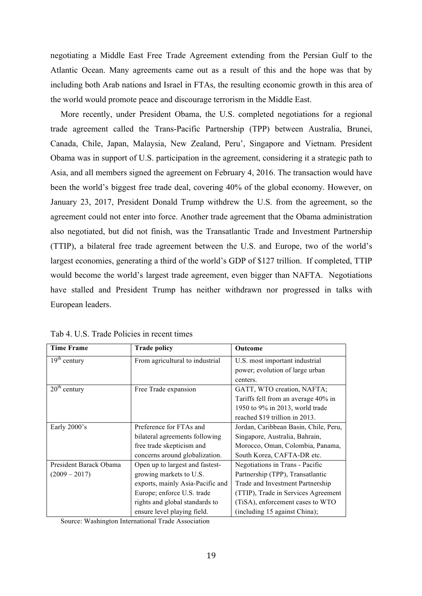negotiating a Middle East Free Trade Agreement extending from the Persian Gulf to the Atlantic Ocean. Many agreements came out as a result of this and the hope was that by including both Arab nations and Israel in FTAs, the resulting economic growth in this area of the world would promote peace and discourage terrorism in the Middle East.

More recently, under President Obama, the U.S. completed negotiations for a regional trade agreement called the Trans-Pacific Partnership (TPP) between Australia, Brunei, Canada, Chile, Japan, Malaysia, New Zealand, Peru', Singapore and Vietnam. President Obama was in support of U.S. participation in the agreement, considering it a strategic path to Asia, and all members signed the agreement on February 4, 2016. The transaction would have been the world's biggest free trade deal, covering 40% of the global economy. However, on January 23, 2017, President Donald Trump withdrew the U.S. from the agreement, so the agreement could not enter into force. Another trade agreement that the Obama administration also negotiated, but did not finish, was the Transatlantic Trade and Investment Partnership (TTIP), a bilateral free trade agreement between the U.S. and Europe, two of the world's largest economies, generating a third of the world's GDP of \$127 trillion. If completed, TTIP would become the world's largest trade agreement, even bigger than NAFTA. Negotiations have stalled and President Trump has neither withdrawn nor progressed in talks with European leaders.

| <b>Time Frame</b>      | <b>Trade policy</b>              | <b>Outcome</b>                        |
|------------------------|----------------------------------|---------------------------------------|
| $19th$ century         | From agricultural to industrial  | U.S. most important industrial        |
|                        |                                  | power; evolution of large urban       |
|                        |                                  | centers.                              |
| $20th$ century         | Free Trade expansion             | GATT, WTO creation, NAFTA;            |
|                        |                                  | Tariffs fell from an average 40% in   |
|                        |                                  | 1950 to 9% in 2013, world trade       |
|                        |                                  | reached \$19 trillion in 2013.        |
| Early 2000's           | Preference for FTAs and          | Jordan, Caribbean Basin, Chile, Peru, |
|                        | bilateral agreements following   | Singapore, Australia, Bahrain,        |
|                        | free trade skepticism and        | Morocco, Oman, Colombia, Panama,      |
|                        | concerns around globalization.   | South Korea, CAFTA-DR etc.            |
| President Barack Obama | Open up to largest and fastest-  | Negotiations in Trans - Pacific       |
| $(2009 - 2017)$        | growing markets to U.S.          | Partnership (TPP), Transatlantic      |
|                        | exports, mainly Asia-Pacific and | Trade and Investment Partnership      |
|                        | Europe; enforce U.S. trade       | (TTIP), Trade in Services Agreement   |
|                        | rights and global standards to   | (TiSA), enforcement cases to WTO      |
|                        | ensure level playing field.      | (including 15 against China);         |

Tab 4. U.S. Trade Policies in recent times

Source: Washington International Trade Association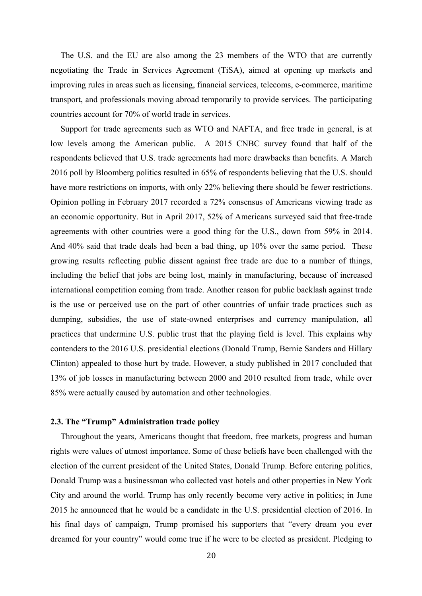The U.S. and the EU are also among the 23 members of the WTO that are currently negotiating the Trade in Services Agreement (TiSA), aimed at opening up markets and improving rules in areas such as licensing, financial services, telecoms, e-commerce, maritime transport, and professionals moving abroad temporarily to provide services. The participating countries account for 70% of world trade in services.

Support for trade agreements such as WTO and NAFTA, and free trade in general, is at low levels among the American public. A 2015 CNBC survey found that half of the respondents believed that U.S. trade agreements had more drawbacks than benefits. A March 2016 poll by Bloomberg politics resulted in 65% of respondents believing that the U.S. should have more restrictions on imports, with only 22% believing there should be fewer restrictions. Opinion polling in February 2017 recorded a 72% consensus of Americans viewing trade as an economic opportunity. But in April 2017, 52% of Americans surveyed said that free-trade agreements with other countries were a good thing for the U.S., down from 59% in 2014. And 40% said that trade deals had been a bad thing, up 10% over the same period. These growing results reflecting public dissent against free trade are due to a number of things, including the belief that jobs are being lost, mainly in manufacturing, because of increased international competition coming from trade. Another reason for public backlash against trade is the use or perceived use on the part of other countries of unfair trade practices such as dumping, subsidies, the use of state-owned enterprises and currency manipulation, all practices that undermine U.S. public trust that the playing field is level. This explains why contenders to the 2016 U.S. presidential elections (Donald Trump, Bernie Sanders and Hillary Clinton) appealed to those hurt by trade. However, a study published in 2017 concluded that 13% of job losses in manufacturing between 2000 and 2010 resulted from trade, while over 85% were actually caused by automation and other technologies.

#### **2.3. The "Trump" Administration trade policy**

Throughout the years, Americans thought that freedom, free markets, progress and human rights were values of utmost importance. Some of these beliefs have been challenged with the election of the current president of the United States, Donald Trump. Before entering politics, Donald Trump was a businessman who collected vast hotels and other properties in New York City and around the world. Trump has only recently become very active in politics; in June 2015 he announced that he would be a candidate in the U.S. presidential election of 2016. In his final days of campaign, Trump promised his supporters that "every dream you ever dreamed for your country" would come true if he were to be elected as president. Pledging to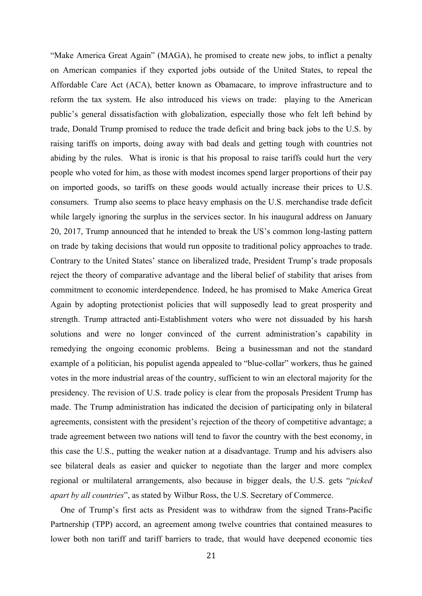"Make America Great Again" (MAGA), he promised to create new jobs, to inflict a penalty on American companies if they exported jobs outside of the United States, to repeal the Affordable Care Act (ACA), better known as Obamacare, to improve infrastructure and to reform the tax system. He also introduced his views on trade: playing to the American public's general dissatisfaction with globalization, especially those who felt left behind by trade, Donald Trump promised to reduce the trade deficit and bring back jobs to the U.S. by raising tariffs on imports, doing away with bad deals and getting tough with countries not abiding by the rules. What is ironic is that his proposal to raise tariffs could hurt the very people who voted for him, as those with modest incomes spend larger proportions of their pay on imported goods, so tariffs on these goods would actually increase their prices to U.S. consumers. Trump also seems to place heavy emphasis on the U.S. merchandise trade deficit while largely ignoring the surplus in the services sector. In his inaugural address on January 20, 2017, Trump announced that he intended to break the US's common long-lasting pattern on trade by taking decisions that would run opposite to traditional policy approaches to trade. Contrary to the United States' stance on liberalized trade, President Trump's trade proposals reject the theory of comparative advantage and the liberal belief of stability that arises from commitment to economic interdependence. Indeed, he has promised to Make America Great Again by adopting protectionist policies that will supposedly lead to great prosperity and strength. Trump attracted anti-Establishment voters who were not dissuaded by his harsh solutions and were no longer convinced of the current administration's capability in remedying the ongoing economic problems. Being a businessman and not the standard example of a politician, his populist agenda appealed to "blue-collar" workers, thus he gained votes in the more industrial areas of the country, sufficient to win an electoral majority for the presidency. The revision of U.S. trade policy is clear from the proposals President Trump has made. The Trump administration has indicated the decision of participating only in bilateral agreements, consistent with the president's rejection of the theory of competitive advantage; a trade agreement between two nations will tend to favor the country with the best economy, in this case the U.S., putting the weaker nation at a disadvantage. Trump and his advisers also see bilateral deals as easier and quicker to negotiate than the larger and more complex regional or multilateral arrangements, also because in bigger deals, the U.S. gets "*picked apart by all countries*", as stated by Wilbur Ross, the U.S. Secretary of Commerce.

One of Trump's first acts as President was to withdraw from the signed Trans-Pacific Partnership (TPP) accord, an agreement among twelve countries that contained measures to lower both non tariff and tariff barriers to trade, that would have deepened economic ties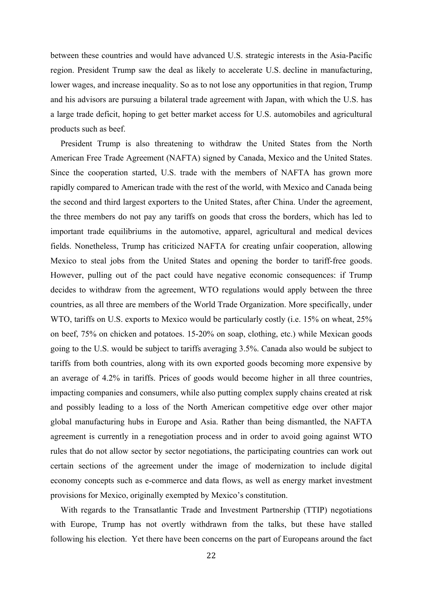between these countries and would have advanced U.S. strategic interests in the Asia-Pacific region. President Trump saw the deal as likely to accelerate U.S. decline in manufacturing, lower wages, and increase inequality. So as to not lose any opportunities in that region, Trump and his advisors are pursuing a bilateral trade agreement with Japan, with which the U.S. has a large trade deficit, hoping to get better market access for U.S. automobiles and agricultural products such as beef.

President Trump is also threatening to withdraw the United States from the North American Free Trade Agreement (NAFTA) signed by Canada, Mexico and the United States. Since the cooperation started, U.S. trade with the members of NAFTA has grown more rapidly compared to American trade with the rest of the world, with Mexico and Canada being the second and third largest exporters to the United States, after China. Under the agreement, the three members do not pay any tariffs on goods that cross the borders, which has led to important trade equilibriums in the automotive, apparel, agricultural and medical devices fields. Nonetheless, Trump has criticized NAFTA for creating unfair cooperation, allowing Mexico to steal jobs from the United States and opening the border to tariff-free goods. However, pulling out of the pact could have negative economic consequences: if Trump decides to withdraw from the agreement, WTO regulations would apply between the three countries, as all three are members of the World Trade Organization. More specifically, under WTO, tariffs on U.S. exports to Mexico would be particularly costly (i.e. 15% on wheat, 25% on beef, 75% on chicken and potatoes. 15-20% on soap, clothing, etc.) while Mexican goods going to the U.S. would be subject to tariffs averaging 3.5%. Canada also would be subject to tariffs from both countries, along with its own exported goods becoming more expensive by an average of 4.2% in tariffs. Prices of goods would become higher in all three countries, impacting companies and consumers, while also putting complex supply chains created at risk and possibly leading to a loss of the North American competitive edge over other major global manufacturing hubs in Europe and Asia. Rather than being dismantled, the NAFTA agreement is currently in a renegotiation process and in order to avoid going against WTO rules that do not allow sector by sector negotiations, the participating countries can work out certain sections of the agreement under the image of modernization to include digital economy concepts such as e-commerce and data flows, as well as energy market investment provisions for Mexico, originally exempted by Mexico's constitution.

With regards to the Transatlantic Trade and Investment Partnership (TTIP) negotiations with Europe, Trump has not overtly withdrawn from the talks, but these have stalled following his election. Yet there have been concerns on the part of Europeans around the fact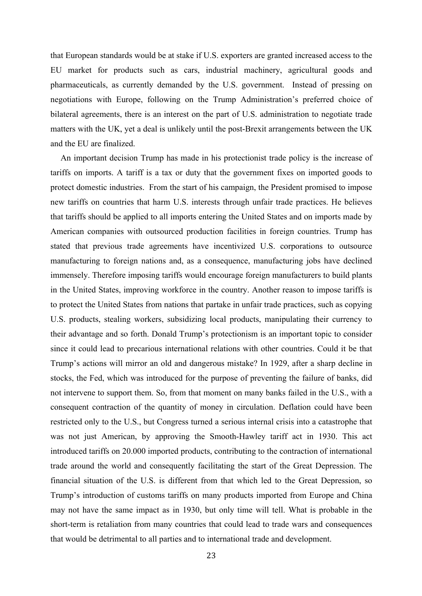that European standards would be at stake if U.S. exporters are granted increased access to the EU market for products such as cars, industrial machinery, agricultural goods and pharmaceuticals, as currently demanded by the U.S. government. Instead of pressing on negotiations with Europe, following on the Trump Administration's preferred choice of bilateral agreements, there is an interest on the part of U.S. administration to negotiate trade matters with the UK, yet a deal is unlikely until the post-Brexit arrangements between the UK and the EU are finalized.

An important decision Trump has made in his protectionist trade policy is the increase of tariffs on imports. A tariff is a tax or duty that the government fixes on imported goods to protect domestic industries. From the start of his campaign, the President promised to impose new tariffs on countries that harm U.S. interests through unfair trade practices. He believes that tariffs should be applied to all imports entering the United States and on imports made by American companies with outsourced production facilities in foreign countries. Trump has stated that previous trade agreements have incentivized U.S. corporations to outsource manufacturing to foreign nations and, as a consequence, manufacturing jobs have declined immensely. Therefore imposing tariffs would encourage foreign manufacturers to build plants in the United States, improving workforce in the country. Another reason to impose tariffs is to protect the United States from nations that partake in unfair trade practices, such as copying U.S. products, stealing workers, subsidizing local products, manipulating their currency to their advantage and so forth. Donald Trump's protectionism is an important topic to consider since it could lead to precarious international relations with other countries. Could it be that Trump's actions will mirror an old and dangerous mistake? In 1929, after a sharp decline in stocks, the Fed, which was introduced for the purpose of preventing the failure of banks, did not intervene to support them. So, from that moment on many banks failed in the U.S., with a consequent contraction of the quantity of money in circulation. Deflation could have been restricted only to the U.S., but Congress turned a serious internal crisis into a catastrophe that was not just American, by approving the Smooth-Hawley tariff act in 1930. This act introduced tariffs on 20.000 imported products, contributing to the contraction of international trade around the world and consequently facilitating the start of the Great Depression. The financial situation of the U.S. is different from that which led to the Great Depression, so Trump's introduction of customs tariffs on many products imported from Europe and China may not have the same impact as in 1930, but only time will tell. What is probable in the short-term is retaliation from many countries that could lead to trade wars and consequences that would be detrimental to all parties and to international trade and development.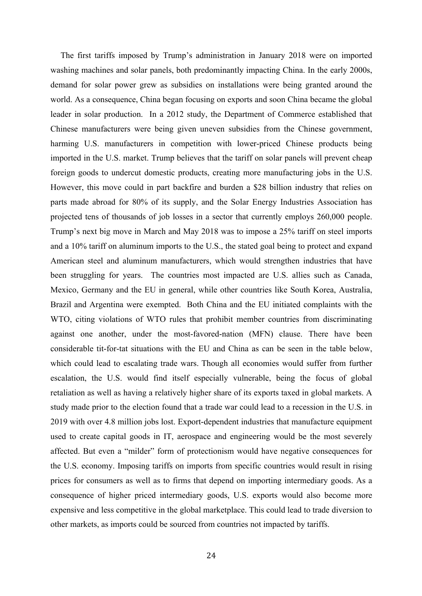The first tariffs imposed by Trump's administration in January 2018 were on imported washing machines and solar panels, both predominantly impacting China. In the early 2000s, demand for solar power grew as subsidies on installations were being granted around the world. As a consequence, China began focusing on exports and soon China became the global leader in solar production. In a 2012 study, the Department of Commerce established that Chinese manufacturers were being given uneven subsidies from the Chinese government, harming U.S. manufacturers in competition with lower-priced Chinese products being imported in the U.S. market. Trump believes that the tariff on solar panels will prevent cheap foreign goods to undercut domestic products, creating more manufacturing jobs in the U.S. However, this move could in part backfire and burden a \$28 billion industry that relies on parts made abroad for 80% of its supply, and the Solar Energy Industries Association has projected tens of thousands of job losses in a sector that currently employs 260,000 people. Trump's next big move in March and May 2018 was to impose a 25% tariff on steel imports and a 10% tariff on aluminum imports to the U.S., the stated goal being to protect and expand American steel and aluminum manufacturers, which would strengthen industries that have been struggling for years. The countries most impacted are U.S. allies such as Canada, Mexico, Germany and the EU in general, while other countries like South Korea, Australia, Brazil and Argentina were exempted. Both China and the EU initiated complaints with the WTO, citing violations of WTO rules that prohibit member countries from discriminating against one another, under the most-favored-nation (MFN) clause. There have been considerable tit-for-tat situations with the EU and China as can be seen in the table below, which could lead to escalating trade wars. Though all economies would suffer from further escalation, the U.S. would find itself especially vulnerable, being the focus of global retaliation as well as having a relatively higher share of its exports taxed in global markets. A study made prior to the election found that a trade war could lead to a recession in the U.S. in 2019 with over 4.8 million jobs lost. Export-dependent industries that manufacture equipment used to create capital goods in IT, aerospace and engineering would be the most severely affected. But even a "milder" form of protectionism would have negative consequences for the U.S. economy. Imposing tariffs on imports from specific countries would result in rising prices for consumers as well as to firms that depend on importing intermediary goods. As a consequence of higher priced intermediary goods, U.S. exports would also become more expensive and less competitive in the global marketplace. This could lead to trade diversion to other markets, as imports could be sourced from countries not impacted by tariffs.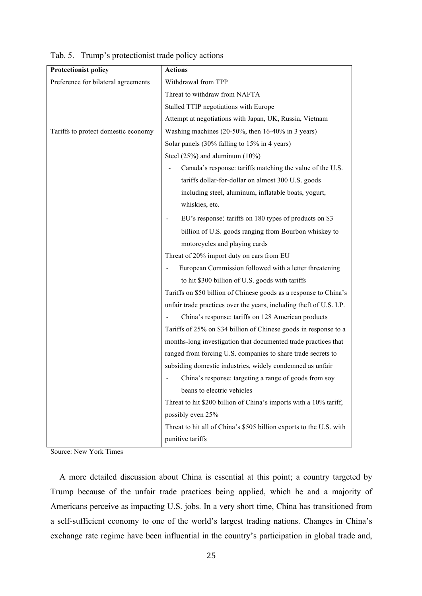| <b>Protectionist policy</b>         | <b>Actions</b>                                                      |
|-------------------------------------|---------------------------------------------------------------------|
| Preference for bilateral agreements | Withdrawal from TPP                                                 |
|                                     | Threat to withdraw from NAFTA                                       |
|                                     | Stalled TTIP negotiations with Europe                               |
|                                     | Attempt at negotiations with Japan, UK, Russia, Vietnam             |
| Tariffs to protect domestic economy | Washing machines (20-50%, then $16-40\%$ in 3 years)                |
|                                     | Solar panels (30% falling to 15% in 4 years)                        |
|                                     | Steel $(25\%)$ and aluminum $(10\%)$                                |
|                                     | Canada's response: tariffs matching the value of the U.S.           |
|                                     | tariffs dollar-for-dollar on almost 300 U.S. goods                  |
|                                     | including steel, aluminum, inflatable boats, yogurt,                |
|                                     | whiskies, etc.                                                      |
|                                     | EU's response: tariffs on 180 types of products on \$3              |
|                                     | billion of U.S. goods ranging from Bourbon whiskey to               |
|                                     | motorcycles and playing cards                                       |
|                                     | Threat of 20% import duty on cars from EU                           |
|                                     | European Commission followed with a letter threatening              |
|                                     | to hit \$300 billion of U.S. goods with tariffs                     |
|                                     | Tariffs on \$50 billion of Chinese goods as a response to China's   |
|                                     | unfair trade practices over the years, including theft of U.S. I.P. |
|                                     | China's response: tariffs on 128 American products                  |
|                                     | Tariffs of 25% on \$34 billion of Chinese goods in response to a    |
|                                     | months-long investigation that documented trade practices that      |
|                                     | ranged from forcing U.S. companies to share trade secrets to        |
|                                     | subsiding domestic industries, widely condemned as unfair           |
|                                     | China's response: targeting a range of goods from soy               |
|                                     | beans to electric vehicles                                          |
|                                     | Threat to hit \$200 billion of China's imports with a 10% tariff,   |
|                                     | possibly even 25%                                                   |
|                                     | Threat to hit all of China's \$505 billion exports to the U.S. with |
|                                     | punitive tariffs                                                    |

Tab. 5. Trump's protectionist trade policy actions

Source: New York Times

 A more detailed discussion about China is essential at this point; a country targeted by Trump because of the unfair trade practices being applied, which he and a majority of Americans perceive as impacting U.S. jobs. In a very short time, China has transitioned from a self-sufficient economy to one of the world's largest trading nations. Changes in China's exchange rate regime have been influential in the country's participation in global trade and,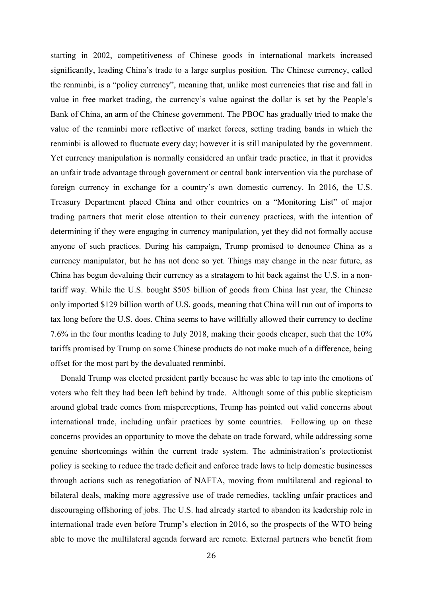starting in 2002, competitiveness of Chinese goods in international markets increased significantly, leading China's trade to a large surplus position. The Chinese currency, called the renminbi, is a "policy currency", meaning that, unlike most currencies that rise and fall in value in free market trading, the currency's value against the dollar is set by the People's Bank of China, an arm of the Chinese government. The PBOC has gradually tried to make the value of the renminbi more reflective of market forces, setting trading bands in which the renminbi is allowed to fluctuate every day; however it is still manipulated by the government. Yet currency manipulation is normally considered an unfair trade practice, in that it provides an unfair trade advantage through government or central bank intervention via the purchase of foreign currency in exchange for a country's own domestic currency. In 2016, the U.S. Treasury Department placed China and other countries on a "Monitoring List" of major trading partners that merit close attention to their currency practices, with the intention of determining if they were engaging in currency manipulation, yet they did not formally accuse anyone of such practices. During his campaign, Trump promised to denounce China as a currency manipulator, but he has not done so yet. Things may change in the near future, as China has begun devaluing their currency as a stratagem to hit back against the U.S. in a nontariff way. While the U.S. bought \$505 billion of goods from China last year, the Chinese only imported \$129 billion worth of U.S. goods, meaning that China will run out of imports to tax long before the U.S. does. China seems to have willfully allowed their currency to decline 7.6% in the four months leading to July 2018, making their goods cheaper, such that the 10% tariffs promised by Trump on some Chinese products do not make much of a difference, being offset for the most part by the devaluated renminbi.

Donald Trump was elected president partly because he was able to tap into the emotions of voters who felt they had been left behind by trade. Although some of this public skepticism around global trade comes from misperceptions, Trump has pointed out valid concerns about international trade, including unfair practices by some countries. Following up on these concerns provides an opportunity to move the debate on trade forward, while addressing some genuine shortcomings within the current trade system. The administration's protectionist policy is seeking to reduce the trade deficit and enforce trade laws to help domestic businesses through actions such as renegotiation of NAFTA, moving from multilateral and regional to bilateral deals, making more aggressive use of trade remedies, tackling unfair practices and discouraging offshoring of jobs. The U.S. had already started to abandon its leadership role in international trade even before Trump's election in 2016, so the prospects of the WTO being able to move the multilateral agenda forward are remote. External partners who benefit from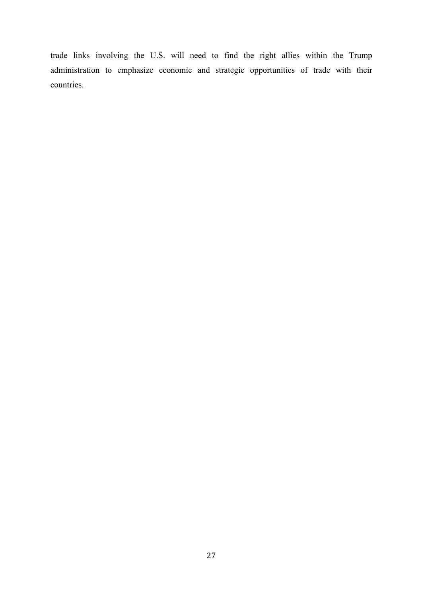trade links involving the U.S. will need to find the right allies within the Trump administration to emphasize economic and strategic opportunities of trade with their countries.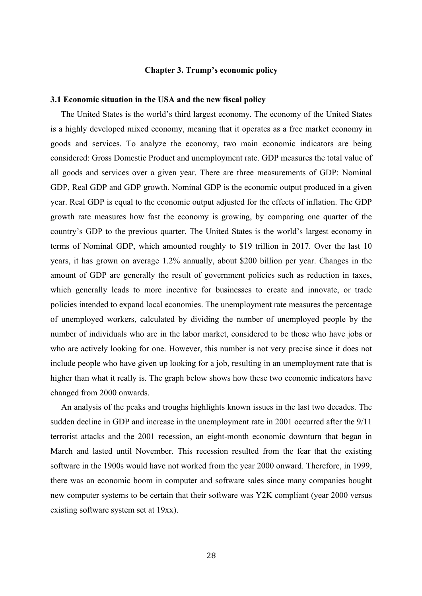#### **Chapter 3. Trump's economic policy**

#### **3.1 Economic situation in the USA and the new fiscal policy**

 The United States is the world's third largest economy. The economy of the United States is a highly developed mixed economy, meaning that it operates as a free market economy in goods and services. To analyze the economy, two main economic indicators are being considered: Gross Domestic Product and unemployment rate. GDP measures the total value of all goods and services over a given year. There are three measurements of GDP: Nominal GDP, Real GDP and GDP growth. Nominal GDP is the economic output produced in a given year. Real GDP is equal to the economic output adjusted for the effects of inflation. The GDP growth rate measures how fast the economy is growing, by comparing one quarter of the country's GDP to the previous quarter. The United States is the world's largest economy in terms of Nominal GDP, which amounted roughly to \$19 trillion in 2017. Over the last 10 years, it has grown on average 1.2% annually, about \$200 billion per year. Changes in the amount of GDP are generally the result of government policies such as reduction in taxes, which generally leads to more incentive for businesses to create and innovate, or trade policies intended to expand local economies. The unemployment rate measures the percentage of unemployed workers, calculated by dividing the number of unemployed people by the number of individuals who are in the labor market, considered to be those who have jobs or who are actively looking for one. However, this number is not very precise since it does not include people who have given up looking for a job, resulting in an unemployment rate that is higher than what it really is. The graph below shows how these two economic indicators have changed from 2000 onwards.

 An analysis of the peaks and troughs highlights known issues in the last two decades. The sudden decline in GDP and increase in the unemployment rate in 2001 occurred after the 9/11 terrorist attacks and the 2001 recession, an eight-month economic downturn that began in March and lasted until November. This recession resulted from the fear that the existing software in the 1900s would have not worked from the year 2000 onward. Therefore, in 1999, there was an economic boom in computer and software sales since many companies bought new computer systems to be certain that their software was Y2K compliant (year 2000 versus existing software system set at 19xx).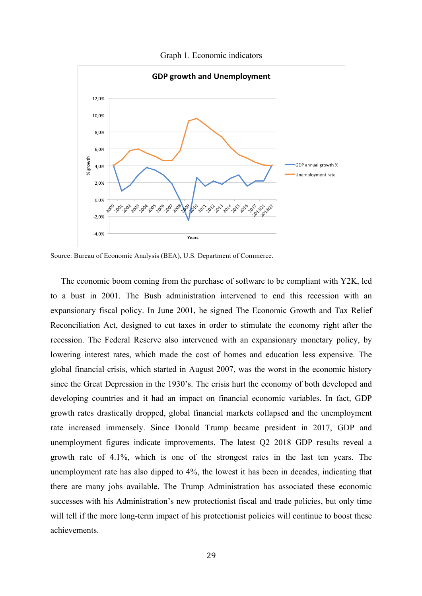Graph 1. Economic indicators



Source: Bureau of Economic Analysis (BEA), U.S. Department of Commerce.

 The economic boom coming from the purchase of software to be compliant with Y2K, led to a bust in 2001. The Bush administration intervened to end this recession with an expansionary fiscal policy. In June 2001, he signed The Economic Growth and Tax Relief Reconciliation Act, designed to cut taxes in order to stimulate the economy right after the recession. The Federal Reserve also intervened with an expansionary monetary policy, by lowering interest rates, which made the cost of homes and education less expensive. The global financial crisis, which started in August 2007, was the worst in the economic history since the Great Depression in the 1930's. The crisis hurt the economy of both developed and developing countries and it had an impact on financial economic variables. In fact, GDP growth rates drastically dropped, global financial markets collapsed and the unemployment rate increased immensely. Since Donald Trump became president in 2017, GDP and unemployment figures indicate improvements. The latest Q2 2018 GDP results reveal a growth rate of 4.1%, which is one of the strongest rates in the last ten years. The unemployment rate has also dipped to 4%, the lowest it has been in decades, indicating that there are many jobs available. The Trump Administration has associated these economic successes with his Administration's new protectionist fiscal and trade policies, but only time will tell if the more long-term impact of his protectionist policies will continue to boost these achievements.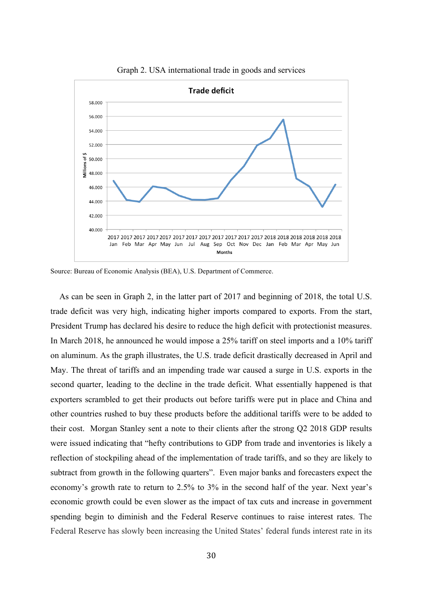

Graph 2. USA international trade in goods and services

Source: Bureau of Economic Analysis (BEA), U.S. Department of Commerce.

 As can be seen in Graph 2, in the latter part of 2017 and beginning of 2018, the total U.S. trade deficit was very high, indicating higher imports compared to exports. From the start, President Trump has declared his desire to reduce the high deficit with protectionist measures. In March 2018, he announced he would impose a 25% tariff on steel imports and a 10% tariff on aluminum. As the graph illustrates, the U.S. trade deficit drastically decreased in April and May. The threat of tariffs and an impending trade war caused a surge in U.S. exports in the second quarter, leading to the decline in the trade deficit. What essentially happened is that exporters scrambled to get their products out before tariffs were put in place and China and other countries rushed to buy these products before the additional tariffs were to be added to their cost. Morgan Stanley sent a note to their clients after the strong Q2 2018 GDP results were issued indicating that "hefty contributions to GDP from trade and inventories is likely a reflection of stockpiling ahead of the implementation of trade tariffs, and so they are likely to subtract from growth in the following quarters". Even major banks and forecasters expect the economy's growth rate to return to 2.5% to 3% in the second half of the year. Next year's economic growth could be even slower as the impact of tax cuts and increase in government spending begin to diminish and the Federal Reserve continues to raise interest rates. The Federal Reserve has slowly been increasing the United States' federal funds interest rate in its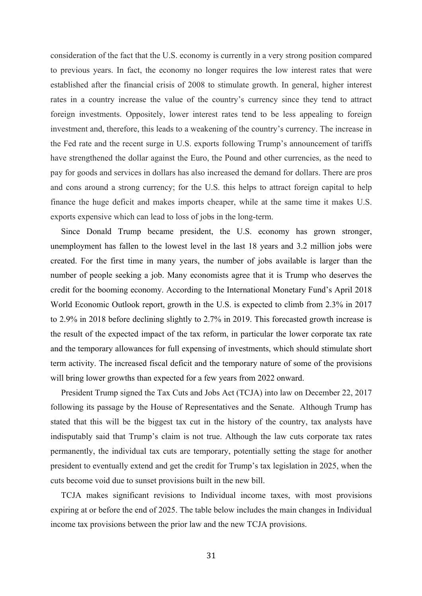consideration of the fact that the U.S. economy is currently in a very strong position compared to previous years. In fact, the economy no longer requires the low interest rates that were established after the financial crisis of 2008 to stimulate growth. In general, higher interest rates in a country increase the value of the country's currency since they tend to attract foreign investments. Oppositely, lower interest rates tend to be less appealing to foreign investment and, therefore, this leads to a weakening of the country's currency. The increase in the Fed rate and the recent surge in U.S. exports following Trump's announcement of tariffs have strengthened the dollar against the Euro, the Pound and other currencies, as the need to pay for goods and services in dollars has also increased the demand for dollars. There are pros and cons around a strong currency; for the U.S. this helps to attract foreign capital to help finance the huge deficit and makes imports cheaper, while at the same time it makes U.S. exports expensive which can lead to loss of jobs in the long-term.

 Since Donald Trump became president, the U.S. economy has grown stronger, unemployment has fallen to the lowest level in the last 18 years and 3.2 million jobs were created. For the first time in many years, the number of jobs available is larger than the number of people seeking a job. Many economists agree that it is Trump who deserves the credit for the booming economy. According to the International Monetary Fund's April 2018 World Economic Outlook report, growth in the U.S. is expected to climb from 2.3% in 2017 to 2.9% in 2018 before declining slightly to 2.7% in 2019. This forecasted growth increase is the result of the expected impact of the tax reform, in particular the lower corporate tax rate and the temporary allowances for full expensing of investments, which should stimulate short term activity. The increased fiscal deficit and the temporary nature of some of the provisions will bring lower growths than expected for a few years from 2022 onward.

 President Trump signed the Tax Cuts and Jobs Act (TCJA) into law on December 22, 2017 following its passage by the House of Representatives and the Senate. Although Trump has stated that this will be the biggest tax cut in the history of the country, tax analysts have indisputably said that Trump's claim is not true. Although the law cuts corporate tax rates permanently, the individual tax cuts are temporary, potentially setting the stage for another president to eventually extend and get the credit for Trump's tax legislation in 2025, when the cuts become void due to sunset provisions built in the new bill.

 TCJA makes significant revisions to Individual income taxes, with most provisions expiring at or before the end of 2025. The table below includes the main changes in Individual income tax provisions between the prior law and the new TCJA provisions.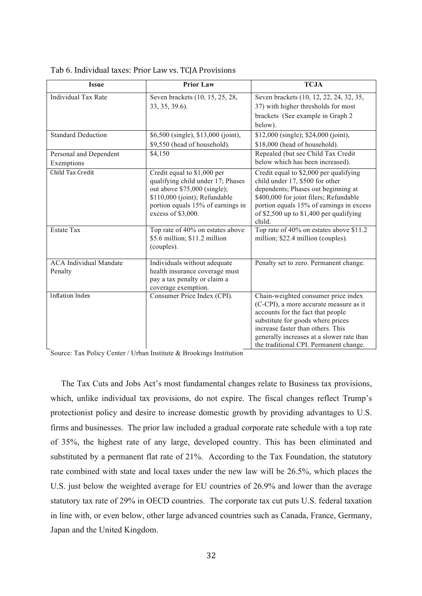| <b>Issue</b>                             | <b>Prior Law</b>                                                                                                                                                                             | <b>TCJA</b>                                                                                                                                                                                                                                                                         |
|------------------------------------------|----------------------------------------------------------------------------------------------------------------------------------------------------------------------------------------------|-------------------------------------------------------------------------------------------------------------------------------------------------------------------------------------------------------------------------------------------------------------------------------------|
| <b>Individual Tax Rate</b>               | Seven brackets (10, 15, 25, 28,<br>33, 35, 39.6).                                                                                                                                            | Seven brackets (10, 12, 22, 24, 32, 35,<br>37) with higher thresholds for most<br>brackets (See example in Graph 2)<br>below).                                                                                                                                                      |
| <b>Standard Deduction</b>                | \$6,500 (single), \$13,000 (joint),<br>\$9,550 (head of household).                                                                                                                          | \$12,000 (single); \$24,000 (joint),<br>\$18,000 (head of household).                                                                                                                                                                                                               |
| Personal and Dependent<br>Exemptions     | \$4,150                                                                                                                                                                                      | Repealed (but see Child Tax Credit<br>below which has been increased).                                                                                                                                                                                                              |
| Child Tax Credit                         | Credit equal to \$1,000 per<br>qualifying child under 17; Phases<br>out above \$75,000 (single);<br>\$110,000 (joint); Refundable<br>portion equals 15% of earnings in<br>excess of \$3,000. | Credit equal to \$2,000 per qualifying<br>child under 17, \$500 for other<br>dependents; Phases out beginning at<br>\$400,000 for joint filers; Refundable<br>portion equals 15% of earnings in excess<br>of \$2,500 up to $$1,400$ per qualifying<br>child.                        |
| <b>Estate Tax</b>                        | Top rate of 40% on estates above<br>\$5.6 million; \$11.2 million<br>(couples).                                                                                                              | Top rate of 40% on estates above \$11.2<br>million; \$22.4 million (couples).                                                                                                                                                                                                       |
| <b>ACA Individual Mandate</b><br>Penalty | Individuals without adequate<br>health insurance coverage must<br>pay a tax penalty or claim a<br>coverage exemption.                                                                        | Penalty set to zero. Permanent change.                                                                                                                                                                                                                                              |
| <b>Inflation Index</b>                   | Consumer Price Index (CPI).                                                                                                                                                                  | Chain-weighted consumer price index<br>(C-CPI), a more accurate measure as it<br>accounts for the fact that people<br>substitute for goods where prices<br>increase faster than others. This<br>generally increases at a slower rate than<br>the traditional CPI. Permanent change. |

Tab 6. Individual taxes: Prior Law vs. TCJA Provisions

Source: Tax Policy Center / Urban Institute & Brookings Institution

 The Tax Cuts and Jobs Act's most fundamental changes relate to Business tax provisions, which, unlike individual tax provisions, do not expire. The fiscal changes reflect Trump's protectionist policy and desire to increase domestic growth by providing advantages to U.S. firms and businesses. The prior law included a gradual corporate rate schedule with a top rate of 35%, the highest rate of any large, developed country. This has been eliminated and substituted by a permanent flat rate of 21%. According to the Tax Foundation, the statutory rate combined with state and local taxes under the new law will be 26.5%, which places the U.S. just below the weighted average for EU countries of 26.9% and lower than the average statutory tax rate of 29% in OECD countries. The corporate tax cut puts U.S. federal taxation in line with, or even below, other large advanced countries such as Canada, France, Germany, Japan and the United Kingdom.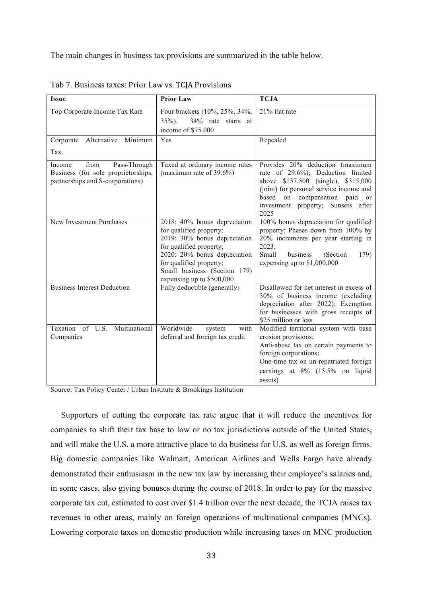The main changes in business tax provisions are summarized in the table below.

| <b>Issue</b>                                                                                              | <b>Prior Law</b>                                                                                                                                                                                                                           | <b>TCJA</b>                                                                                                                                                                                                                           |
|-----------------------------------------------------------------------------------------------------------|--------------------------------------------------------------------------------------------------------------------------------------------------------------------------------------------------------------------------------------------|---------------------------------------------------------------------------------------------------------------------------------------------------------------------------------------------------------------------------------------|
| Top Corporate Income Tax Rate                                                                             | Four brackets (10%, 25%, 34%,<br>$35\%$ ).<br>34% rate starts at<br>income of \$75.000                                                                                                                                                     | 21% flat rate                                                                                                                                                                                                                         |
| Alternative<br>Minimum<br>Corporate<br>Tax                                                                | Yes                                                                                                                                                                                                                                        | Repealed                                                                                                                                                                                                                              |
| Pass-Through<br>Income<br>from<br>Business (for sole proprietorships,<br>partnerships and S-corporations) | Taxed at ordinary income rates<br>(maximum rate of $39.6\%$ )                                                                                                                                                                              | Provides 20% deduction (maximum<br>rate of 29.6%); Deduction limited<br>above \$157,500 (single), \$315,000<br>(joint) for personal service income and<br>based on compensation paid or<br>investment property; Sunsets after<br>2025 |
| New Investment Purchases                                                                                  | 2018: 40% bonus depreciation<br>for qualified property;<br>2019: 30% bonus depreciation<br>for qualified property;<br>2020: 20% bonus depreciation<br>for qualified property;<br>Small business (Section 179)<br>expensing up to \$500,000 | 100% bonus depreciation for qualified<br>property; Phases down from 100% by<br>20% increments per year starting in<br>2023;<br>Small<br>business<br>(Section<br>179)<br>expensing up to $$1,000,000$                                  |
| <b>Business Interest Deduction</b>                                                                        | Fully deductible (generally)                                                                                                                                                                                                               | Disallowed for net interest in excess of<br>30% of business income (excluding<br>depreciation after 2022); Exemption<br>for businesses with gross receipts of<br>\$25 million or less                                                 |
| Taxation of U.S. Multinational<br>Companies                                                               | Worldwide<br>with<br>system<br>deferral and foreign tax credit                                                                                                                                                                             | Modified territorial system with base<br>erosion provisions;<br>Anti-abuse tax on certain payments to<br>foreign corporations;<br>One-time tax on un-repatriated foreign<br>earnings at 8% (15.5% on liquid<br>assets)                |

Tab 7. Business taxes: Prior Law vs. TCJA Provisions

Source: Tax Policy Center / Urban Institute & Brookings Institution

 Supporters of cutting the corporate tax rate argue that it will reduce the incentives for companies to shift their tax base to low or no tax jurisdictions outside of the United States, and will make the U.S. a more attractive place to do business for U.S. as well as foreign firms. Big domestic companies like Walmart, American Airlines and Wells Fargo have already demonstrated their enthusiasm in the new tax law by increasing their employee's salaries and, in some cases, also giving bonuses during the course of 2018. In order to pay for the massive corporate tax cut, estimated to cost over \$1.4 trillion over the next decade, the TCJA raises tax revenues in other areas, mainly on foreign operations of multinational companies (MNCs). Lowering corporate taxes on domestic production while increasing taxes on MNC production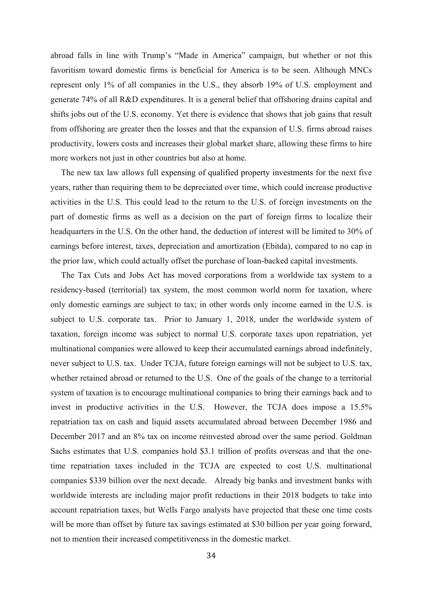abroad falls in line with Trump's "Made in America" campaign, but whether or not this favoritism toward domestic firms is beneficial for America is to be seen. Although MNCs represent only 1% of all companies in the U.S., they absorb 19% of U.S. employment and generate 74% of all R&D expenditures. It is a general belief that offshoring drains capital and shifts jobs out of the U.S. economy. Yet there is evidence that shows that job gains that result from offshoring are greater then the losses and that the expansion of U.S. firms abroad raises productivity, lowers costs and increases their global market share, allowing these firms to hire more workers not just in other countries but also at home.

 The new tax law allows full expensing of qualified property investments for the next five years, rather than requiring them to be depreciated over time, which could increase productive activities in the U.S. This could lead to the return to the U.S. of foreign investments on the part of domestic firms as well as a decision on the part of foreign firms to localize their headquarters in the U.S. On the other hand, the deduction of interest will be limited to 30% of earnings before interest, taxes, depreciation and amortization (Ebitda), compared to no cap in the prior law, which could actually offset the purchase of loan-backed capital investments.

 The Tax Cuts and Jobs Act has moved corporations from a worldwide tax system to a residency-based (territorial) tax system, the most common world norm for taxation, where only domestic earnings are subject to tax; in other words only income earned in the U.S. is subject to U.S. corporate tax. Prior to January 1, 2018, under the worldwide system of taxation, foreign income was subject to normal U.S. corporate taxes upon repatriation, yet multinational companies were allowed to keep their accumulated earnings abroad indefinitely, never subject to U.S. tax. Under TCJA, future foreign earnings will not be subject to U.S. tax, whether retained abroad or returned to the U.S. One of the goals of the change to a territorial system of taxation is to encourage multinational companies to bring their earnings back and to invest in productive activities in the U.S. However, the TCJA does impose a 15.5% repatriation tax on cash and liquid assets accumulated abroad between December 1986 and December 2017 and an 8% tax on income reinvested abroad over the same period. Goldman Sachs estimates that U.S. companies hold \$3.1 trillion of profits overseas and that the onetime repatriation taxes included in the TCJA are expected to cost U.S. multinational companies \$339 billion over the next decade. Already big banks and investment banks with worldwide interests are including major profit reductions in their 2018 budgets to take into account repatriation taxes, but Wells Fargo analysts have projected that these one time costs will be more than offset by future tax savings estimated at \$30 billion per year going forward, not to mention their increased competitiveness in the domestic market.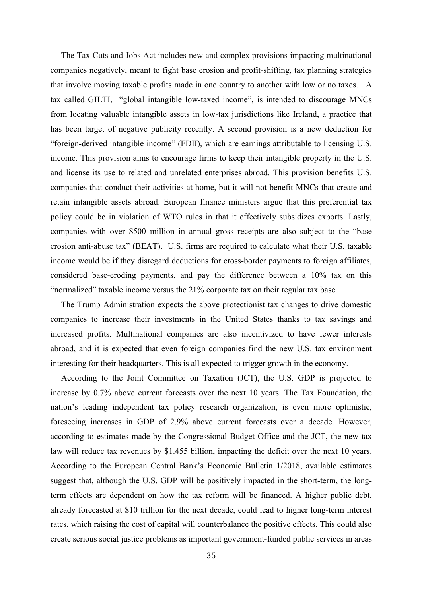The Tax Cuts and Jobs Act includes new and complex provisions impacting multinational companies negatively, meant to fight base erosion and profit-shifting, tax planning strategies that involve moving taxable profits made in one country to another with low or no taxes. A tax called GILTI, "global intangible low-taxed income", is intended to discourage MNCs from locating valuable intangible assets in low-tax jurisdictions like Ireland, a practice that has been target of negative publicity recently. A second provision is a new deduction for "foreign-derived intangible income" (FDII), which are earnings attributable to licensing U.S. income. This provision aims to encourage firms to keep their intangible property in the U.S. and license its use to related and unrelated enterprises abroad. This provision benefits U.S. companies that conduct their activities at home, but it will not benefit MNCs that create and retain intangible assets abroad. European finance ministers argue that this preferential tax policy could be in violation of WTO rules in that it effectively subsidizes exports. Lastly, companies with over \$500 million in annual gross receipts are also subject to the "base erosion anti-abuse tax" (BEAT). U.S. firms are required to calculate what their U.S. taxable income would be if they disregard deductions for cross-border payments to foreign affiliates, considered base-eroding payments, and pay the difference between a 10% tax on this "normalized" taxable income versus the 21% corporate tax on their regular tax base.

 The Trump Administration expects the above protectionist tax changes to drive domestic companies to increase their investments in the United States thanks to tax savings and increased profits. Multinational companies are also incentivized to have fewer interests abroad, and it is expected that even foreign companies find the new U.S. tax environment interesting for their headquarters. This is all expected to trigger growth in the economy.

 According to the Joint Committee on Taxation (JCT), the U.S. GDP is projected to increase by 0.7% above current forecasts over the next 10 years. The Tax Foundation, the nation's leading independent tax policy research organization, is even more optimistic, foreseeing increases in GDP of 2.9% above current forecasts over a decade. However, according to estimates made by the Congressional Budget Office and the JCT, the new tax law will reduce tax revenues by \$1.455 billion, impacting the deficit over the next 10 years. According to the European Central Bank's Economic Bulletin 1/2018, available estimates suggest that, although the U.S. GDP will be positively impacted in the short-term, the longterm effects are dependent on how the tax reform will be financed. A higher public debt, already forecasted at \$10 trillion for the next decade, could lead to higher long-term interest rates, which raising the cost of capital will counterbalance the positive effects. This could also create serious social justice problems as important government-funded public services in areas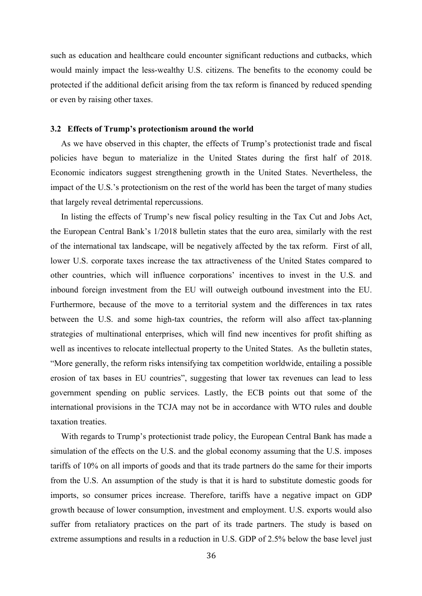such as education and healthcare could encounter significant reductions and cutbacks, which would mainly impact the less-wealthy U.S. citizens. The benefits to the economy could be protected if the additional deficit arising from the tax reform is financed by reduced spending or even by raising other taxes.

#### **3.2 Effects of Trump's protectionism around the world**

 As we have observed in this chapter, the effects of Trump's protectionist trade and fiscal policies have begun to materialize in the United States during the first half of 2018. Economic indicators suggest strengthening growth in the United States. Nevertheless, the impact of the U.S.'s protectionism on the rest of the world has been the target of many studies that largely reveal detrimental repercussions.

 In listing the effects of Trump's new fiscal policy resulting in the Tax Cut and Jobs Act, the European Central Bank's 1/2018 bulletin states that the euro area, similarly with the rest of the international tax landscape, will be negatively affected by the tax reform. First of all, lower U.S. corporate taxes increase the tax attractiveness of the United States compared to other countries, which will influence corporations' incentives to invest in the U.S. and inbound foreign investment from the EU will outweigh outbound investment into the EU. Furthermore, because of the move to a territorial system and the differences in tax rates between the U.S. and some high-tax countries, the reform will also affect tax-planning strategies of multinational enterprises, which will find new incentives for profit shifting as well as incentives to relocate intellectual property to the United States. As the bulletin states, "More generally, the reform risks intensifying tax competition worldwide, entailing a possible erosion of tax bases in EU countries", suggesting that lower tax revenues can lead to less government spending on public services. Lastly, the ECB points out that some of the international provisions in the TCJA may not be in accordance with WTO rules and double taxation treaties.

 With regards to Trump's protectionist trade policy, the European Central Bank has made a simulation of the effects on the U.S. and the global economy assuming that the U.S. imposes tariffs of 10% on all imports of goods and that its trade partners do the same for their imports from the U.S. An assumption of the study is that it is hard to substitute domestic goods for imports, so consumer prices increase. Therefore, tariffs have a negative impact on GDP growth because of lower consumption, investment and employment. U.S. exports would also suffer from retaliatory practices on the part of its trade partners. The study is based on extreme assumptions and results in a reduction in U.S. GDP of 2.5% below the base level just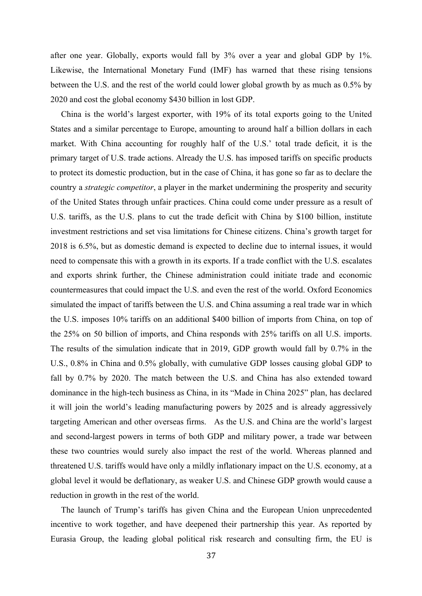after one year. Globally, exports would fall by 3% over a year and global GDP by 1%. Likewise, the International Monetary Fund (IMF) has warned that these rising tensions between the U.S. and the rest of the world could lower global growth by as much as 0.5% by 2020 and cost the global economy \$430 billion in lost GDP.

 China is the world's largest exporter, with 19% of its total exports going to the United States and a similar percentage to Europe, amounting to around half a billion dollars in each market. With China accounting for roughly half of the U.S.' total trade deficit, it is the primary target of U.S. trade actions. Already the U.S. has imposed tariffs on specific products to protect its domestic production, but in the case of China, it has gone so far as to declare the country a *strategic competitor*, a player in the market undermining the prosperity and security of the United States through unfair practices. China could come under pressure as a result of U.S. tariffs, as the U.S. plans to cut the trade deficit with China by \$100 billion, institute investment restrictions and set visa limitations for Chinese citizens. China's growth target for 2018 is 6.5%, but as domestic demand is expected to decline due to internal issues, it would need to compensate this with a growth in its exports. If a trade conflict with the U.S. escalates and exports shrink further, the Chinese administration could initiate trade and economic countermeasures that could impact the U.S. and even the rest of the world. Oxford Economics simulated the impact of tariffs between the U.S. and China assuming a real trade war in which the U.S. imposes 10% tariffs on an additional \$400 billion of imports from China, on top of the 25% on 50 billion of imports, and China responds with 25% tariffs on all U.S. imports. The results of the simulation indicate that in 2019, GDP growth would fall by 0.7% in the U.S., 0.8% in China and 0.5% globally, with cumulative GDP losses causing global GDP to fall by 0.7% by 2020. The match between the U.S. and China has also extended toward dominance in the high-tech business as China, in its "Made in China 2025" plan, has declared it will join the world's leading manufacturing powers by 2025 and is already aggressively targeting American and other overseas firms. As the U.S. and China are the world's largest and second-largest powers in terms of both GDP and military power, a trade war between these two countries would surely also impact the rest of the world. Whereas planned and threatened U.S. tariffs would have only a mildly inflationary impact on the U.S. economy, at a global level it would be deflationary, as weaker U.S. and Chinese GDP growth would cause a reduction in growth in the rest of the world.

 The launch of Trump's tariffs has given China and the European Union unprecedented incentive to work together, and have deepened their partnership this year. As reported by Eurasia Group, the leading global political risk research and consulting firm, the EU is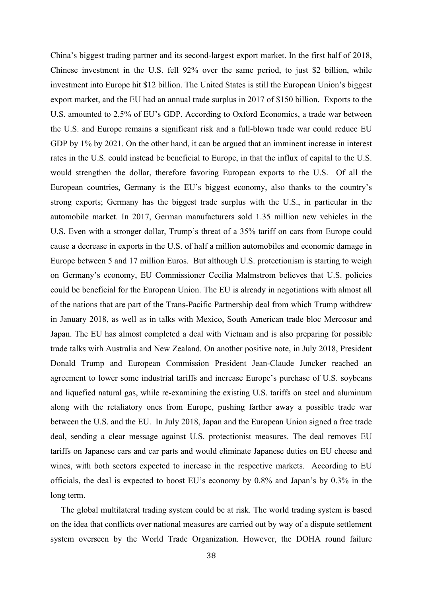China's biggest trading partner and its second-largest export market. In the first half of 2018, Chinese investment in the U.S. fell 92% over the same period, to just \$2 billion, while investment into Europe hit \$12 billion. The United States is still the European Union's biggest export market, and the EU had an annual trade surplus in 2017 of \$150 billion. Exports to the U.S. amounted to 2.5% of EU's GDP. According to Oxford Economics, a trade war between the U.S. and Europe remains a significant risk and a full-blown trade war could reduce EU GDP by  $1\%$  by 2021. On the other hand, it can be argued that an imminent increase in interest rates in the U.S. could instead be beneficial to Europe, in that the influx of capital to the U.S. would strengthen the dollar, therefore favoring European exports to the U.S. Of all the European countries, Germany is the EU's biggest economy, also thanks to the country's strong exports; Germany has the biggest trade surplus with the U.S., in particular in the automobile market. In 2017, German manufacturers sold 1.35 million new vehicles in the U.S. Even with a stronger dollar, Trump's threat of a 35% tariff on cars from Europe could cause a decrease in exports in the U.S. of half a million automobiles and economic damage in Europe between 5 and 17 million Euros. But although U.S. protectionism is starting to weigh on Germany's economy, EU Commissioner Cecilia Malmstrom believes that U.S. policies could be beneficial for the European Union. The EU is already in negotiations with almost all of the nations that are part of the Trans-Pacific Partnership deal from which Trump withdrew in January 2018, as well as in talks with Mexico, South American trade bloc Mercosur and Japan. The EU has almost completed a deal with Vietnam and is also preparing for possible trade talks with Australia and New Zealand. On another positive note, in July 2018, President Donald Trump and European Commission President Jean-Claude Juncker reached an agreement to lower some industrial tariffs and increase Europe's purchase of U.S. soybeans and liquefied natural gas, while re-examining the existing U.S. tariffs on steel and aluminum along with the retaliatory ones from Europe, pushing farther away a possible trade war between the U.S. and the EU. In July 2018, Japan and the European Union signed a free trade deal, sending a clear message against U.S. protectionist measures. The deal removes EU tariffs on Japanese cars and car parts and would eliminate Japanese duties on EU cheese and wines, with both sectors expected to increase in the respective markets. According to EU officials, the deal is expected to boost EU's economy by 0.8% and Japan's by 0.3% in the long term.

 The global multilateral trading system could be at risk. The world trading system is based on the idea that conflicts over national measures are carried out by way of a dispute settlement system overseen by the World Trade Organization. However, the DOHA round failure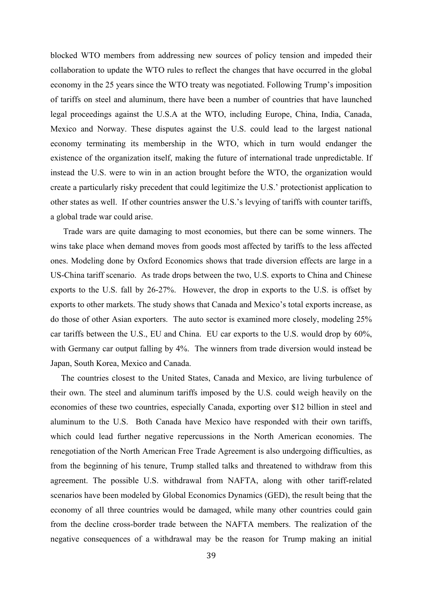blocked WTO members from addressing new sources of policy tension and impeded their collaboration to update the WTO rules to reflect the changes that have occurred in the global economy in the 25 years since the WTO treaty was negotiated. Following Trump's imposition of tariffs on steel and aluminum, there have been a number of countries that have launched legal proceedings against the U.S.A at the WTO, including Europe, China, India, Canada, Mexico and Norway. These disputes against the U.S. could lead to the largest national economy terminating its membership in the WTO, which in turn would endanger the existence of the organization itself, making the future of international trade unpredictable. If instead the U.S. were to win in an action brought before the WTO, the organization would create a particularly risky precedent that could legitimize the U.S.' protectionist application to other states as well. If other countries answer the U.S.'s levying of tariffs with counter tariffs, a global trade war could arise.

 Trade wars are quite damaging to most economies, but there can be some winners. The wins take place when demand moves from goods most affected by tariffs to the less affected ones. Modeling done by Oxford Economics shows that trade diversion effects are large in a US-China tariff scenario. As trade drops between the two, U.S. exports to China and Chinese exports to the U.S. fall by 26-27%. However, the drop in exports to the U.S. is offset by exports to other markets. The study shows that Canada and Mexico's total exports increase, as do those of other Asian exporters. The auto sector is examined more closely, modeling 25% car tariffs between the U.S., EU and China. EU car exports to the U.S. would drop by 60%, with Germany car output falling by 4%. The winners from trade diversion would instead be Japan, South Korea, Mexico and Canada.

 The countries closest to the United States, Canada and Mexico, are living turbulence of their own. The steel and aluminum tariffs imposed by the U.S. could weigh heavily on the economies of these two countries, especially Canada, exporting over \$12 billion in steel and aluminum to the U.S. Both Canada have Mexico have responded with their own tariffs, which could lead further negative repercussions in the North American economies. The renegotiation of the North American Free Trade Agreement is also undergoing difficulties, as from the beginning of his tenure, Trump stalled talks and threatened to withdraw from this agreement. The possible U.S. withdrawal from NAFTA, along with other tariff-related scenarios have been modeled by Global Economics Dynamics (GED), the result being that the economy of all three countries would be damaged, while many other countries could gain from the decline cross-border trade between the NAFTA members. The realization of the negative consequences of a withdrawal may be the reason for Trump making an initial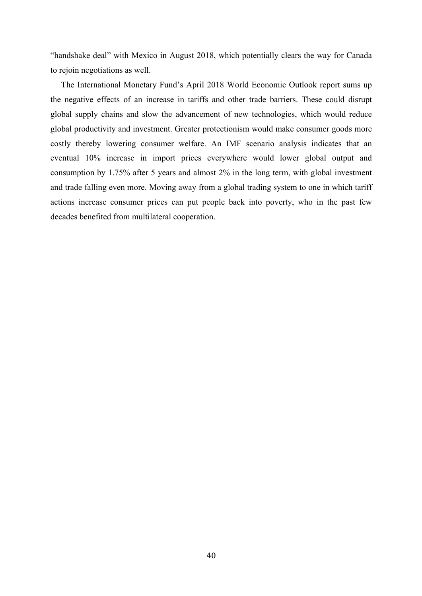"handshake deal" with Mexico in August 2018, which potentially clears the way for Canada to rejoin negotiations as well.

 The International Monetary Fund's April 2018 World Economic Outlook report sums up the negative effects of an increase in tariffs and other trade barriers. These could disrupt global supply chains and slow the advancement of new technologies, which would reduce global productivity and investment. Greater protectionism would make consumer goods more costly thereby lowering consumer welfare. An IMF scenario analysis indicates that an eventual 10% increase in import prices everywhere would lower global output and consumption by 1.75% after 5 years and almost 2% in the long term, with global investment and trade falling even more. Moving away from a global trading system to one in which tariff actions increase consumer prices can put people back into poverty, who in the past few decades benefited from multilateral cooperation.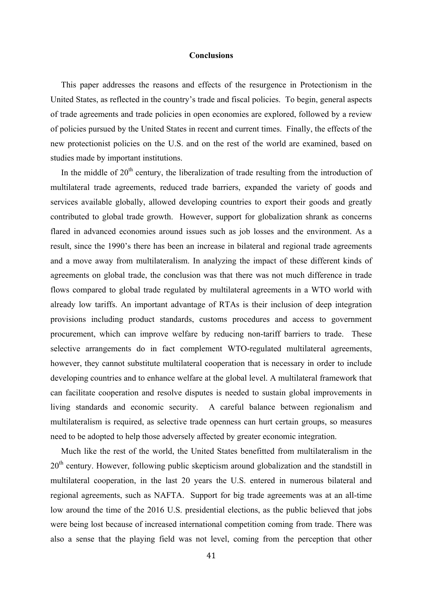#### **Conclusions**

 This paper addresses the reasons and effects of the resurgence in Protectionism in the United States, as reflected in the country's trade and fiscal policies. To begin, general aspects of trade agreements and trade policies in open economies are explored, followed by a review of policies pursued by the United States in recent and current times. Finally, the effects of the new protectionist policies on the U.S. and on the rest of the world are examined, based on studies made by important institutions.

In the middle of 20<sup>th</sup> century, the liberalization of trade resulting from the introduction of multilateral trade agreements, reduced trade barriers, expanded the variety of goods and services available globally, allowed developing countries to export their goods and greatly contributed to global trade growth. However, support for globalization shrank as concerns flared in advanced economies around issues such as job losses and the environment. As a result, since the 1990's there has been an increase in bilateral and regional trade agreements and a move away from multilateralism. In analyzing the impact of these different kinds of agreements on global trade, the conclusion was that there was not much difference in trade flows compared to global trade regulated by multilateral agreements in a WTO world with already low tariffs. An important advantage of RTAs is their inclusion of deep integration provisions including product standards, customs procedures and access to government procurement, which can improve welfare by reducing non-tariff barriers to trade. These selective arrangements do in fact complement WTO-regulated multilateral agreements, however, they cannot substitute multilateral cooperation that is necessary in order to include developing countries and to enhance welfare at the global level. A multilateral framework that can facilitate cooperation and resolve disputes is needed to sustain global improvements in living standards and economic security. A careful balance between regionalism and multilateralism is required, as selective trade openness can hurt certain groups, so measures need to be adopted to help those adversely affected by greater economic integration.

 Much like the rest of the world, the United States benefitted from multilateralism in the 20<sup>th</sup> century. However, following public skepticism around globalization and the standstill in multilateral cooperation, in the last 20 years the U.S. entered in numerous bilateral and regional agreements, such as NAFTA. Support for big trade agreements was at an all-time low around the time of the 2016 U.S. presidential elections, as the public believed that jobs were being lost because of increased international competition coming from trade. There was also a sense that the playing field was not level, coming from the perception that other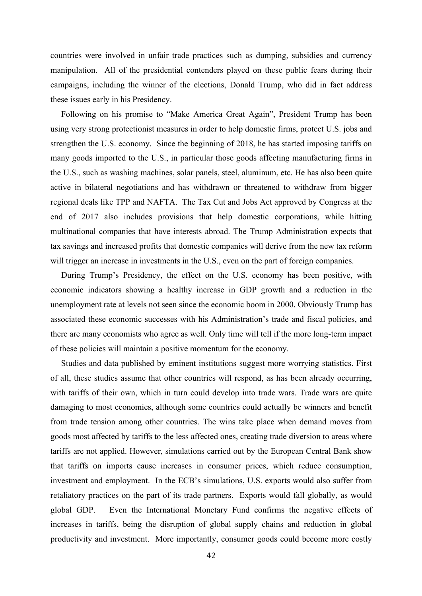countries were involved in unfair trade practices such as dumping, subsidies and currency manipulation. All of the presidential contenders played on these public fears during their campaigns, including the winner of the elections, Donald Trump, who did in fact address these issues early in his Presidency.

 Following on his promise to "Make America Great Again", President Trump has been using very strong protectionist measures in order to help domestic firms, protect U.S. jobs and strengthen the U.S. economy. Since the beginning of 2018, he has started imposing tariffs on many goods imported to the U.S., in particular those goods affecting manufacturing firms in the U.S., such as washing machines, solar panels, steel, aluminum, etc. He has also been quite active in bilateral negotiations and has withdrawn or threatened to withdraw from bigger regional deals like TPP and NAFTA. The Tax Cut and Jobs Act approved by Congress at the end of 2017 also includes provisions that help domestic corporations, while hitting multinational companies that have interests abroad. The Trump Administration expects that tax savings and increased profits that domestic companies will derive from the new tax reform will trigger an increase in investments in the U.S., even on the part of foreign companies.

 During Trump's Presidency, the effect on the U.S. economy has been positive, with economic indicators showing a healthy increase in GDP growth and a reduction in the unemployment rate at levels not seen since the economic boom in 2000. Obviously Trump has associated these economic successes with his Administration's trade and fiscal policies, and there are many economists who agree as well. Only time will tell if the more long-term impact of these policies will maintain a positive momentum for the economy.

 Studies and data published by eminent institutions suggest more worrying statistics. First of all, these studies assume that other countries will respond, as has been already occurring, with tariffs of their own, which in turn could develop into trade wars. Trade wars are quite damaging to most economies, although some countries could actually be winners and benefit from trade tension among other countries. The wins take place when demand moves from goods most affected by tariffs to the less affected ones, creating trade diversion to areas where tariffs are not applied. However, simulations carried out by the European Central Bank show that tariffs on imports cause increases in consumer prices, which reduce consumption, investment and employment. In the ECB's simulations, U.S. exports would also suffer from retaliatory practices on the part of its trade partners. Exports would fall globally, as would global GDP. Even the International Monetary Fund confirms the negative effects of increases in tariffs, being the disruption of global supply chains and reduction in global productivity and investment. More importantly, consumer goods could become more costly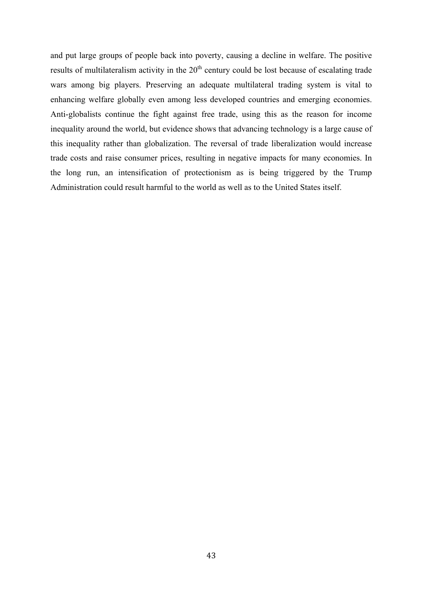and put large groups of people back into poverty, causing a decline in welfare. The positive results of multilateralism activity in the  $20<sup>th</sup>$  century could be lost because of escalating trade wars among big players. Preserving an adequate multilateral trading system is vital to enhancing welfare globally even among less developed countries and emerging economies. Anti-globalists continue the fight against free trade, using this as the reason for income inequality around the world, but evidence shows that advancing technology is a large cause of this inequality rather than globalization. The reversal of trade liberalization would increase trade costs and raise consumer prices, resulting in negative impacts for many economies. In the long run, an intensification of protectionism as is being triggered by the Trump Administration could result harmful to the world as well as to the United States itself.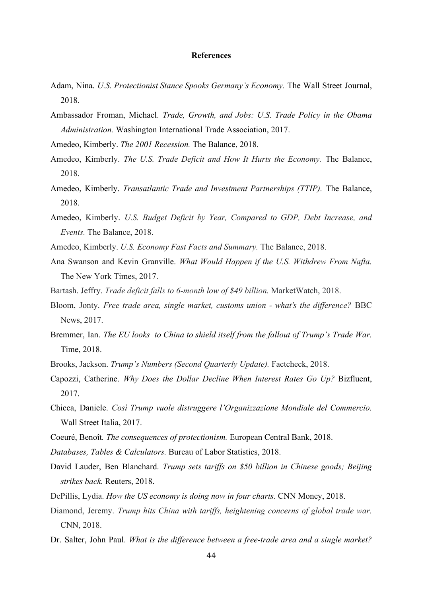#### **References**

- Adam, Nina. *U.S. Protectionist Stance Spooks Germany's Economy.* The Wall Street Journal, 2018.
- Ambassador Froman, Michael. *Trade, Growth, and Jobs: U.S. Trade Policy in the Obama Administration.* Washington International Trade Association, 2017.
- Amedeo, Kimberly. *The 2001 Recession.* The Balance, 2018.
- Amedeo, Kimberly. *The U.S. Trade Deficit and How It Hurts the Economy.* The Balance, 2018.
- Amedeo, Kimberly. *Transatlantic Trade and Investment Partnerships (TTIP).* The Balance, 2018.
- Amedeo, Kimberly. *U.S. Budget Deficit by Year, Compared to GDP, Debt Increase, and Events.* The Balance, 2018.
- Amedeo, Kimberly. *U.S. Economy Fast Facts and Summary.* The Balance, 2018.
- Ana Swanson and Kevin Granville. *What Would Happen if the U.S. Withdrew From Nafta.* The New York Times, 2017.
- Bartash. Jeffry. *Trade deficit falls to 6-month low of \$49 billion.* MarketWatch, 2018.
- Bloom, Jonty. *Free trade area, single market, customs union - what's the difference?* BBC News, 2017.
- Bremmer, Ian. *The EU looks to China to shield itself from the fallout of Trump's Trade War.* Time, 2018.
- Brooks, Jackson. *Trump's Numbers (Second Quarterly Update).* Factcheck, 2018.
- Capozzi, Catherine. *Why Does the Dollar Decline When Interest Rates Go Up?* Bizfluent, 2017.
- Chicca, Daniele. *Così Trump vuole distruggere l'Organizzazione Mondiale del Commercio.*  Wall Street Italia, 2017.
- Coeuré, Benoît*. The consequences of protectionism.* European Central Bank, 2018.
- *Databases, Tables & Calculators.* Bureau of Labor Statistics, 2018.
- David Lauder, Ben Blanchard. *Trump sets tariffs on \$50 billion in Chinese goods; Beijing strikes back.* Reuters, 2018.
- DePillis, Lydia. *How the US economy is doing now in four charts*. CNN Money, 2018.
- Diamond, Jeremy. *Trump hits China with tariffs, heightening concerns of global trade war.* CNN, 2018.
- Dr. Salter, John Paul. *What is the difference between a free-trade area and a single market?*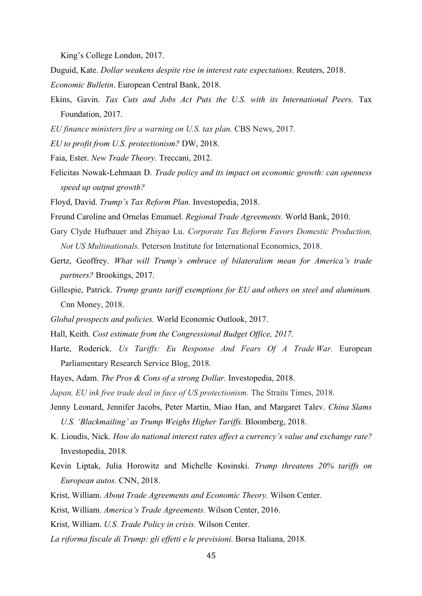King's College London, 2017.

Duguid, Kate. *Dollar weakens despite rise in interest rate expectations*. Reuters, 2018. *Economic Bulletin*. European Central Bank, 2018.

- Ekins, Gavin. *Tax Cuts and Jobs Act Puts the U.S. with its International Peers.* Tax Foundation, 2017.
- *EU finance ministers fire a warning on U.S. tax plan.* CBS News, 2017.
- *EU to profit from U.S. protectionism?* DW, 2018.
- Faia, Ester. *New Trade Theory.* Treccani, 2012.
- Felicitas Nowak-Lehmaan D. *Trade policy and its impact on economic growth: can openness speed up output growth?*
- Floyd, David. *Trump's Tax Reform Plan.* Investopedia, 2018.
- Freund Caroline and Ornelas Emanuel. *Regional Trade Agreements.* World Bank, 2010.
- Gary Clyde Hufbauer and Zhiyao Lu. *Corporate Tax Reform Favors Domestic Production, Not US Multinationals.* Peterson Institute for International Economics, 2018.
- Gertz, Geoffrey. *What will Trump's embrace of bilateralism mean for America's trade partners?* Brookings, 2017.
- Gillespie, Patrick. *Trump grants tariff exemptions for EU and others on steel and aluminum.* Cnn Money, 2018.
- *Global prospects and policies.* World Economic Outlook, 2017.
- Hall, Keith. *Cost estimate from the Congressional Budget Office, 2017*.
- Harte, Roderick. *Us Tariffs: Eu Response And Fears Of A Trade War.* European Parliamentary Research Service Blog, 2018.
- Hayes, Adam. *The Pros & Cons of a strong Dollar.* Investopedia, 2018.
- *Japan, EU ink free trade deal in face of US protectionism.* The Straits Times, 2018.
- Jenny Leonard, Jennifer Jacobs, Peter Martin, Miao Han, and Margaret Talev. *China Slams U.S. 'Blackmailing' as Trump Weighs Higher Tariffs.* Bloomberg, 2018.
- K. Lioudis, Nick. *How do national interest rates affect a currency's value and exchange rate?*  Investopedia, 2018.
- Kevin Liptak, Julia Horowitz and Michelle Kosinski. *Trump threatens 20% tariffs on European autos.* CNN, 2018.
- Krist, William. *About Trade Agreements and Economic Theory.* Wilson Center.
- Krist, William. *America's Trade Agreements.* Wilson Center, 2016.
- Krist, William. *U.S. Trade Policy in crisis.* Wilson Center.
- *La riforma fiscale di Trump: gli effetti e le previsioni.* Borsa Italiana, 2018.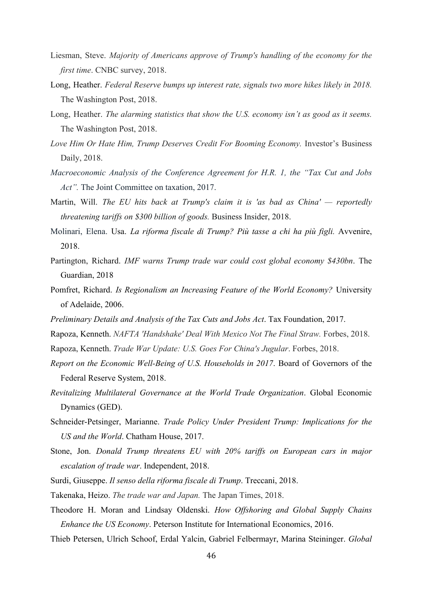- Liesman, Steve. *Majority of Americans approve of Trump's handling of the economy for the first time*. CNBC survey, 2018.
- Long, Heather. *Federal Reserve bumps up interest rate, signals two more hikes likely in 2018.* The Washington Post, 2018.
- Long, Heather. *The alarming statistics that show the U.S. economy isn't as good as it seems.*  The Washington Post, 2018.
- *Love Him Or Hate Him, Trump Deserves Credit For Booming Economy.* Investor's Business Daily, 2018.
- *Macroeconomic Analysis of the Conference Agreement for H.R. 1, the "Tax Cut and Jobs Act".* The Joint Committee on taxation, 2017.
- Martin, Will. *The EU hits back at Trump's claim it is 'as bad as China' — reportedly threatening tariffs on \$300 billion of goods.* Business Insider, 2018.
- Molinari, Elena. Usa. *La riforma fiscale di Trump? Più tasse a chi ha più figli.* Avvenire, 2018.
- Partington, Richard. *IMF warns Trump trade war could cost global economy \$430bn*. The Guardian, 2018
- Pomfret, Richard. *Is Regionalism an Increasing Feature of the World Economy?* University of Adelaide, 2006.
- *Preliminary Details and Analysis of the Tax Cuts and Jobs Act*. Tax Foundation, 2017.
- Rapoza, Kenneth. *NAFTA 'Handshake' Deal With Mexico Not The Final Straw.* Forbes, 2018.
- Rapoza, Kenneth. *Trade War Update: U.S. Goes For China's Jugular*. Forbes, 2018.
- *Report on the Economic Well-Being of U.S. Households in 2017*. Board of Governors of the Federal Reserve System, 2018.
- *Revitalizing Multilateral Governance at the World Trade Organization*. Global Economic Dynamics (GED).
- Schneider-Petsinger, Marianne. *Trade Policy Under President Trump: Implications for the US and the World*. Chatham House, 2017.
- Stone, Jon. *Donald Trump threatens EU with 20% tariffs on European cars in major escalation of trade war*. Independent, 2018.
- Surdi, Giuseppe. *Il senso della riforma fiscale di Trump*. Treccani, 2018.
- Takenaka, Heizo. *The trade war and Japan.* The Japan Times, 2018.
- Theodore H. Moran and Lindsay Oldenski. *How Offshoring and Global Supply Chains Enhance the US Economy*. Peterson Institute for International Economics, 2016.
- Thieb Petersen, Ulrich Schoof, Erdal Yalcin, Gabriel Felbermayr, Marina Steininger. *Global*